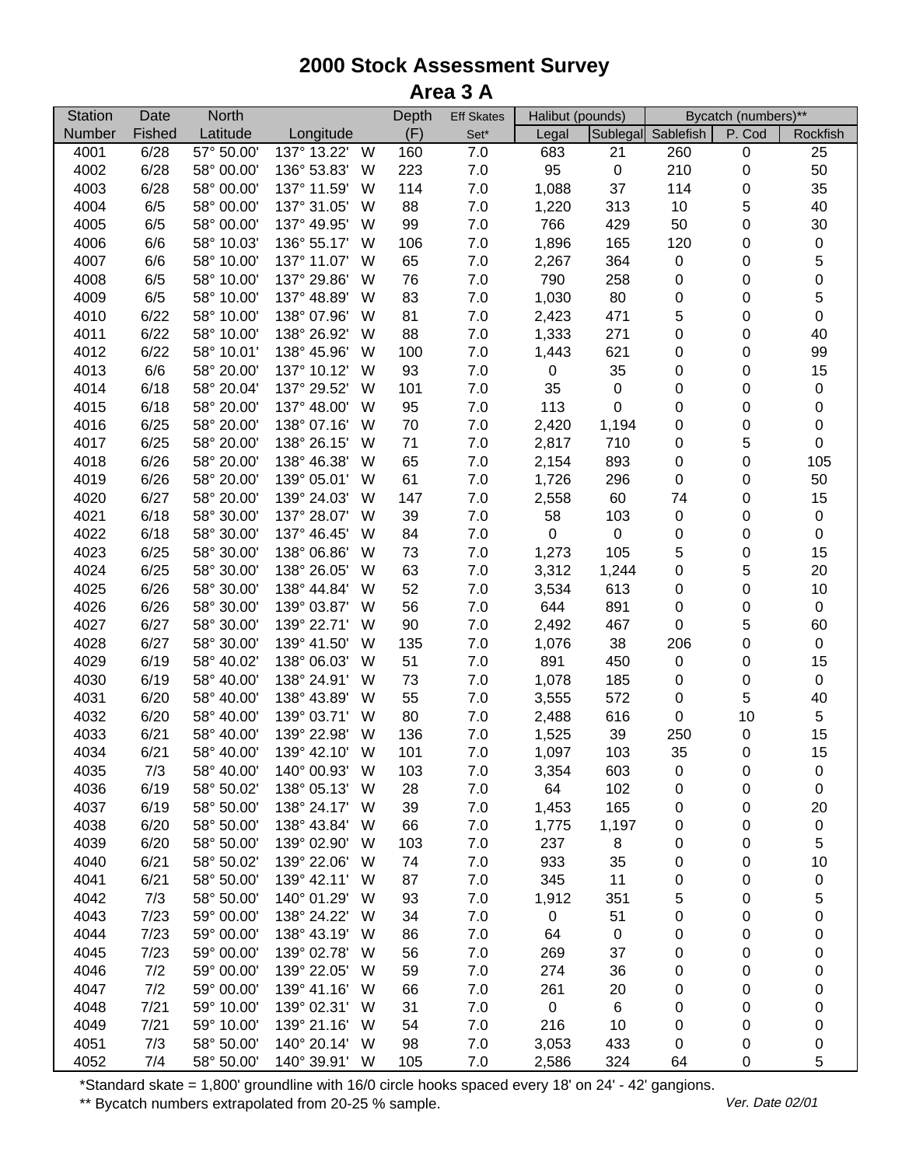| <b>Station</b> | Date   | <b>North</b> |                  | Depth | <b>Eff Skates</b> | Halibut (pounds) |             |                    | Bycatch (numbers)** |                  |
|----------------|--------|--------------|------------------|-------|-------------------|------------------|-------------|--------------------|---------------------|------------------|
| Number         | Fished | Latitude     | Longitude        | (F)   | $Set^*$           | Legal            |             | Sublegal Sablefish | P. Cod              | Rockfish         |
| 4001           | 6/28   | 57° 50.00'   | 137° 13.22'<br>W | 160   | 7.0               | 683              | 21          | 260                | 0                   | 25               |
| 4002           | 6/28   | 58° 00.00'   | 136° 53.83'<br>W | 223   | $7.0\,$           | 95               | $\pmb{0}$   | 210                | 0                   | 50               |
| 4003           | 6/28   | 58° 00.00'   | 137° 11.59'<br>W | 114   | 7.0               | 1,088            | 37          | 114                | 0                   | 35               |
| 4004           | 6/5    | 58° 00.00'   | 137° 31.05'<br>W | 88    | 7.0               | 1,220            | 313         | 10                 | 5                   | 40               |
| 4005           | 6/5    | 58° 00.00'   | 137° 49.95'<br>W | 99    | 7.0               | 766              | 429         | 50                 | 0                   | 30               |
| 4006           | 6/6    | 58° 10.03'   | 136° 55.17'<br>W | 106   | 7.0               | 1,896            | 165         | 120                | 0                   | $\pmb{0}$        |
| 4007           | 6/6    | 58° 10.00'   | 137° 11.07'<br>W | 65    | 7.0               | 2,267            | 364         | $\pmb{0}$          | 0                   | 5                |
| 4008           | 6/5    | 58° 10.00'   | 137° 29.86'<br>W | 76    | $7.0$             | 790              | 258         | 0                  | 0                   | $\mathbf 0$      |
| 4009           | 6/5    | 58° 10.00'   | 137° 48.89'<br>W | 83    | $7.0$             | 1,030            | 80          | $\pmb{0}$          | 0                   | 5                |
| 4010           | 6/22   | 58° 10.00'   | 138° 07.96'<br>W | 81    | $7.0$             | 2,423            | 471         | 5                  | 0                   | $\pmb{0}$        |
| 4011           | 6/22   | 58° 10.00'   | 138° 26.92'<br>W | 88    | $7.0$             | 1,333            | 271         | $\pmb{0}$          | 0                   | 40               |
| 4012           | 6/22   | 58° 10.01'   | 138° 45.96'<br>W | 100   | $7.0$             | 1,443            | 621         | 0                  | 0                   | 99               |
| 4013           | 6/6    | 58° 20.00'   | 137° 10.12'<br>W | 93    | $7.0$             | $\boldsymbol{0}$ | 35          | 0                  | 0                   | 15               |
| 4014           | 6/18   | 58° 20.04'   | 137° 29.52'<br>W | 101   | $7.0\,$           | 35               | $\pmb{0}$   | 0                  | 0                   | $\pmb{0}$        |
| 4015           | 6/18   | 58° 20.00'   | 137° 48.00'<br>W | 95    | $7.0\,$           | 113              | $\mathbf 0$ | 0                  | 0                   | $\pmb{0}$        |
| 4016           | 6/25   | 58° 20.00'   | 138° 07.16'<br>W | 70    | 7.0               | 2,420            | 1,194       | 0                  | 0                   | $\pmb{0}$        |
| 4017           | 6/25   | 58° 20.00'   | 138° 26.15'<br>W | 71    | $7.0\,$           | 2,817            | 710         | 0                  | 5                   | $\boldsymbol{0}$ |
| 4018           | 6/26   | 58° 20.00'   | 138° 46.38'<br>W | 65    | $7.0$             | 2,154            | 893         | $\pmb{0}$          | 0                   | 105              |
| 4019           | 6/26   | 58° 20.00'   | 139° 05.01'<br>W | 61    | $7.0$             | 1,726            | 296         | $\pmb{0}$          | 0                   | 50               |
| 4020           | 6/27   | 58° 20.00'   | 139° 24.03'<br>W | 147   | 7.0               | 2,558            | 60          | 74                 | 0                   | 15               |
| 4021           | 6/18   | 58° 30.00'   | 137° 28.07'<br>W | 39    | 7.0               | 58               | 103         | 0                  | 0                   | $\pmb{0}$        |
| 4022           | 6/18   | 58° 30.00'   | 137° 46.45'<br>W | 84    | 7.0               | $\boldsymbol{0}$ | $\pmb{0}$   | 0                  | 0                   | $\pmb{0}$        |
| 4023           | 6/25   | 58° 30.00'   | 138° 06.86'<br>W | 73    | $7.0$             | 1,273            | 105         | 5                  | 0                   | 15               |
| 4024           | 6/25   | 58° 30.00'   | 138° 26.05'<br>W | 63    | 7.0               | 3,312            | 1,244       | 0                  | 5                   | 20               |
| 4025           | 6/26   | 58° 30.00'   | 138° 44.84'<br>W | 52    | $7.0$             | 3,534            | 613         | $\pmb{0}$          | $\pmb{0}$           | 10               |
| 4026           | 6/26   | 58° 30.00'   | 139° 03.87'<br>W | 56    | $7.0$             | 644              | 891         | $\pmb{0}$          | 0                   | $\pmb{0}$        |
| 4027           | 6/27   | 58° 30.00'   | 139° 22.71'<br>W | 90    | $7.0$             | 2,492            | 467         | $\pmb{0}$          | 5                   | 60               |
| 4028           | 6/27   | 58° 30.00'   | 139° 41.50'<br>W | 135   | $7.0$             | 1,076            | 38          | 206                | 0                   | $\pmb{0}$        |
| 4029           | 6/19   | 58° 40.02'   | 138° 06.03'<br>W | 51    | $7.0\,$           | 891              | 450         | $\pmb{0}$          | 0                   | 15               |
| 4030           | 6/19   | 58° 40.00'   | 138° 24.91'<br>W | 73    | $7.0$             | 1,078            | 185         | 0                  | 0                   | $\boldsymbol{0}$ |
| 4031           | 6/20   | 58° 40.00'   | 138° 43.89'<br>W | 55    | $7.0$             | 3,555            | 572         | $\pmb{0}$          | 5                   | 40               |
| 4032           | 6/20   | 58° 40.00'   | 139° 03.71'<br>W | 80    | $7.0$             | 2,488            | 616         | $\pmb{0}$          | 10                  | $\mathbf 5$      |
| 4033           | 6/21   | 58° 40.00'   | 139° 22.98'<br>W | 136   | $7.0\,$           | 1,525            | 39          | 250                | 0                   | 15               |
| 4034           | 6/21   | 58° 40.00'   | 139° 42.10'<br>W | 101   | 7.0               | 1,097            | 103         | 35                 | 0                   | 15               |
| 4035           | 7/3    | 58° 40.00'   | 140° 00.93'<br>W | 103   | 7.0               | 3,354            | 603         | 0                  | 0                   | 0                |
| 4036           | 6/19   | 58° 50.02'   | 138° 05.13'<br>W | 28    | 7.0               | 64               | 102         | 0                  | 0                   | 0                |
| 4037           | 6/19   | 58° 50.00'   | 138° 24.17'<br>W | 39    | $7.0\,$           | 1,453            | 165         | 0                  | 0                   | 20               |
| 4038           | 6/20   | 58° 50.00'   | 138° 43.84'<br>W | 66    | $7.0$             | 1,775            | 1,197       | 0                  | 0                   | $\pmb{0}$        |
| 4039           | 6/20   | 58° 50.00'   | 139° 02.90'<br>W | 103   | 7.0               | 237              | 8           | 0                  | 0                   | 5                |
| 4040           | 6/21   | 58° 50.02'   | 139° 22.06'<br>W | 74    | 7.0               | 933              | 35          | 0                  | 0                   | 10               |
| 4041           | 6/21   | 58° 50.00'   | 139° 42.11'<br>W | 87    | 7.0               | 345              | 11          | 0                  | 0                   | $\pmb{0}$        |
| 4042           | 7/3    | 58° 50.00'   | 140° 01.29'<br>W | 93    | $7.0$             | 1,912            | 351         | 5                  | 0                   | 5                |
| 4043           | 7/23   | 59° 00.00'   | 138° 24.22'<br>W | 34    | $7.0$             | $\mathsf 0$      | 51          | 0                  | 0                   | $\mathbf 0$      |
| 4044           | 7/23   | 59° 00.00'   | 138° 43.19'<br>W | 86    | $7.0$             | 64               | $\pmb{0}$   | 0                  | 0                   | $\pmb{0}$        |
| 4045           | 7/23   | 59° 00.00'   | 139° 02.78'<br>W | 56    | $7.0$             | 269              | 37          | 0                  | 0                   | $\pmb{0}$        |
| 4046           | 7/2    | 59° 00.00'   | 139° 22.05'<br>W | 59    | $7.0$             | 274              | 36          | 0                  | 0                   | 0                |
| 4047           | 7/2    | 59° 00.00'   | 139° 41.16'<br>W | 66    | 7.0               | 261              | 20          | 0                  | 0                   | 0                |
| 4048           | 7/21   | 59° 10.00'   | 139° 02.31'<br>W | 31    | 7.0               | $\pmb{0}$        | 6           | 0                  | 0                   | 0                |
| 4049           | 7/21   | 59° 10.00'   | 139° 21.16'<br>w | 54    | 7.0               | 216              | 10          | 0                  | 0                   | 0                |
| 4051           | 7/3    | 58° 50.00'   | 140° 20.14'<br>W | 98    | 7.0               | 3,053            | 433         | 0                  | 0                   | 0                |
| 4052           | 7/4    | 58° 50.00'   | 140° 39.91'<br>W | 105   | 7.0               | 2,586            | 324         | 64                 | 0                   | 5                |

\*Standard skate = 1,800' groundline with 16/0 circle hooks spaced every 18' on 24' - 42' gangions.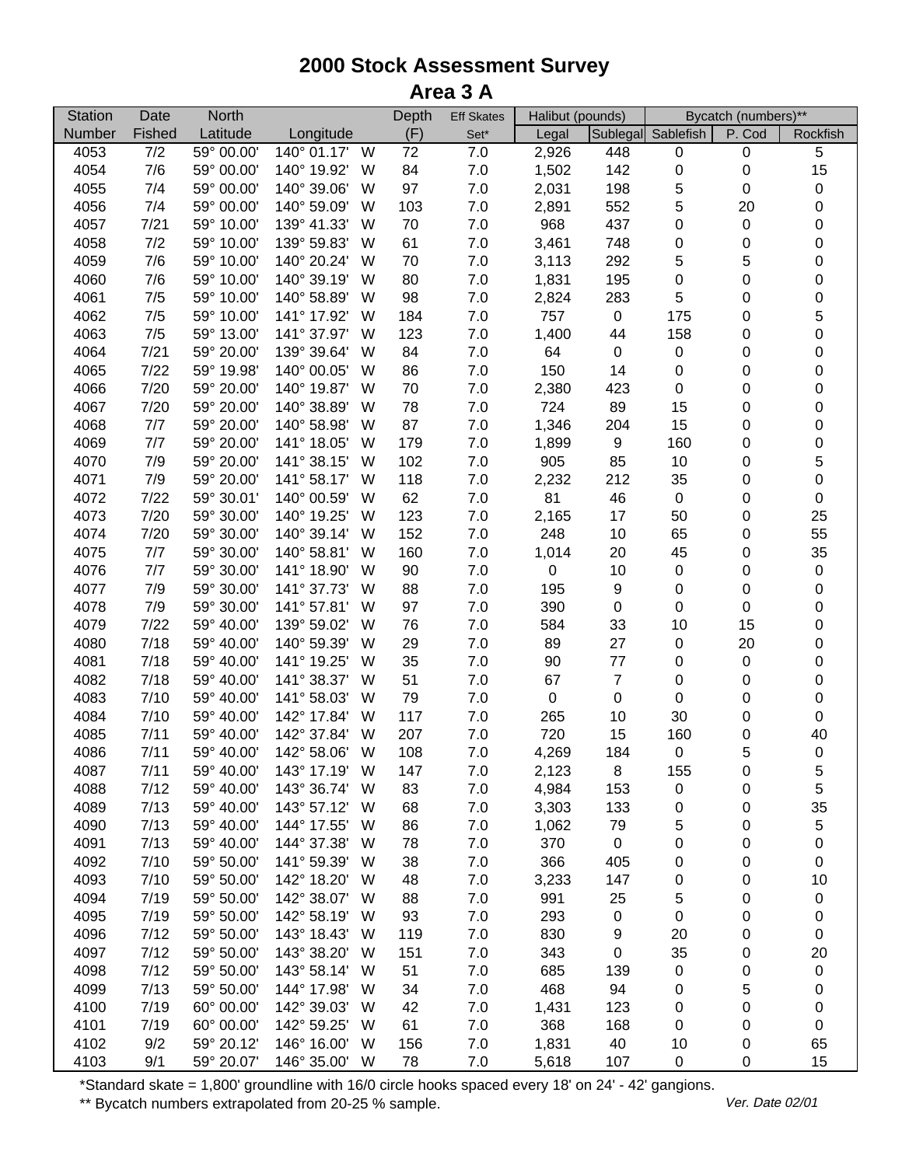| <b>Station</b> | Date   | <b>North</b> |                  | Depth | <b>Eff Skates</b> | Halibut (pounds) |                  |                    | Bycatch (numbers)** |                  |
|----------------|--------|--------------|------------------|-------|-------------------|------------------|------------------|--------------------|---------------------|------------------|
| Number         | Fished | Latitude     | Longitude        | (F)   | $Set^*$           | Legal            |                  | Sublegal Sablefish | P. Cod              | Rockfish         |
| 4053           | 7/2    | 59° 00.00'   | 140° 01.17'<br>W | 72    | 7.0               | 2,926            | 448              | 0                  | 0                   | 5                |
| 4054           | 7/6    | 59° 00.00'   | 140° 19.92'<br>W | 84    | $7.0$             | 1,502            | 142              | 0                  | 0                   | 15               |
| 4055           | 7/4    | 59° 00.00'   | 140° 39.06'<br>W | 97    | 7.0               | 2,031            | 198              | 5                  | 0                   | 0                |
| 4056           | 7/4    | 59° 00.00'   | 140° 59.09'<br>W | 103   | 7.0               | 2,891            | 552              | 5                  | 20                  | 0                |
| 4057           | 7/21   | 59° 10.00'   | 139° 41.33'<br>W | 70    | $7.0\,$           | 968              | 437              | 0                  | 0                   | 0                |
| 4058           | 7/2    | 59° 10.00'   | 139° 59.83'<br>W | 61    | 7.0               | 3,461            | 748              | 0                  | 0                   | 0                |
| 4059           | 7/6    | 59° 10.00'   | 140° 20.24'<br>W | 70    | $7.0\,$           | 3,113            | 292              | 5                  | 5                   | 0                |
| 4060           | 7/6    | 59° 10.00'   | 140° 39.19'<br>W | 80    | $7.0\,$           | 1,831            | 195              | 0                  | 0                   | 0                |
| 4061           | 7/5    | 59° 10.00'   | 140° 58.89'<br>W | 98    | $7.0$             | 2,824            | 283              | $\sqrt{5}$         | 0                   | 0                |
| 4062           | 7/5    | 59° 10.00'   | 141° 17.92'<br>W | 184   | $7.0$             | 757              | $\pmb{0}$        | 175                | 0                   | 5                |
| 4063           | 7/5    | 59° 13.00'   | 141° 37.97'<br>W | 123   | $7.0$             | 1,400            | 44               | 158                | 0                   | 0                |
| 4064           | 7/21   | 59° 20.00'   | 139° 39.64'<br>W | 84    | $7.0$             | 64               | $\pmb{0}$        | $\pmb{0}$          | 0                   | $\boldsymbol{0}$ |
| 4065           | 7/22   | 59° 19.98'   | 140° 00.05'<br>W | 86    | $7.0\,$           | 150              | 14               | $\boldsymbol{0}$   | 0                   | 0                |
| 4066           | 7/20   | 59° 20.00'   | 140° 19.87'<br>W | 70    | $7.0$             | 2,380            | 423              | $\boldsymbol{0}$   | 0                   | 0                |
| 4067           | 7/20   | 59° 20.00'   | 140° 38.89'<br>W | 78    | 7.0               | 724              | 89               | 15                 | 0                   | 0                |
| 4068           | 7/7    | 59° 20.00'   | 140° 58.98'<br>W | 87    | 7.0               | 1,346            | 204              | 15                 | 0                   | $\pmb{0}$        |
| 4069           | 7/7    | 59° 20.00'   | 141° 18.05'<br>W | 179   | $7.0$             | 1,899            | $\boldsymbol{9}$ | 160                | 0                   | 0                |
| 4070           | 7/9    | 59° 20.00'   | 141° 38.15'<br>W | 102   | $7.0$             | 905              | 85               | 10                 | 0                   | 5                |
| 4071           | 7/9    | 59° 20.00'   | 141° 58.17'<br>W | 118   | $7.0$             | 2,232            | 212              | 35                 | 0                   | 0                |
| 4072           | 7/22   | 59° 30.01'   | 140° 00.59'<br>W | 62    | $7.0\,$           | 81               | 46               | $\pmb{0}$          | 0                   | $\pmb{0}$        |
| 4073           | 7/20   | 59° 30.00'   | 140° 19.25'<br>W | 123   | 7.0               | 2,165            | 17               | 50                 | 0                   | 25               |
| 4074           | 7/20   | 59° 30.00'   | 140° 39.14'<br>W | 152   | $7.0$             | 248              | 10               | 65                 | 0                   | 55               |
| 4075           | 7/7    | 59° 30.00'   | 140° 58.81'<br>W | 160   | 7.0               | 1,014            | 20               | 45                 | 0                   | 35               |
| 4076           | 7/7    | 59° 30.00'   | 141° 18.90'<br>W | 90    | 7.0               | $\pmb{0}$        | 10               | 0                  | 0                   | 0                |
| 4077           | 7/9    | 59° 30.00'   | 141° 37.73'<br>W | 88    | $7.0\,$           | 195              | $\boldsymbol{9}$ | 0                  | 0                   | 0                |
| 4078           | 7/9    | 59° 30.00'   | 141° 57.81'<br>W | 97    | $7.0\,$           | 390              | $\pmb{0}$        | 0                  | 0                   | 0                |
| 4079           | 7/22   | 59° 40.00'   | 139° 59.02'<br>W | 76    | $7.0$             | 584              | 33               | 10                 | 15                  | 0                |
| 4080           | 7/18   | 59° 40.00'   | 140° 59.39'<br>W | 29    | $7.0\,$           | 89               | 27               | 0                  | 20                  | 0                |
| 4081           | 7/18   | 59° 40.00'   | 141° 19.25'<br>W | 35    | $7.0\,$           | 90               | 77               | 0                  | $\pmb{0}$           | 0                |
| 4082           | 7/18   | 59° 40.00'   | 141° 38.37'<br>W | 51    | $7.0\,$           | 67               | $\boldsymbol{7}$ | $\boldsymbol{0}$   | 0                   | $\pmb{0}$        |
| 4083           | 7/10   | 59° 40.00'   | 141° 58.03'<br>W | 79    | 7.0               | $\pmb{0}$        | $\pmb{0}$        | $\boldsymbol{0}$   | 0                   | $\pmb{0}$        |
| 4084           | 7/10   | 59° 40.00'   | 142° 17.84'<br>W | 117   | 7.0               | 265              | 10               | 30                 | 0                   | 0                |
| 4085           | 7/11   | 59° 40.00'   | 142° 37.84'<br>W | 207   | $7.0$             | 720              | 15               | 160                | 0                   | 40               |
| 4086           | 7/11   | 59° 40.00'   | 142° 58.06'<br>W | 108   | 7.0               | 4,269            | 184              | $\pmb{0}$          | 5                   | $\pmb{0}$        |
| 4087           | 7/11   | 59° 40.00'   | 143° 17.19'<br>W | 147   | 7.0               | 2,123            | 8                | 155                | 0                   | 5                |
| 4088           | 7/12   | 59° 40.00'   | 143° 36.74'<br>W | 83    | 7.0               | 4,984            | 153              | $\pmb{0}$          | 0                   | 5                |
| 4089           | 7/13   | 59° 40.00'   | 143° 57.12'<br>W | 68    | $7.0$             | 3,303            | 133              | 0                  | 0                   | 35               |
| 4090           | 7/13   | 59° 40.00'   | 144° 17.55'<br>W | 86    | 7.0               | 1,062            | 79               | 5                  | 0                   | 5                |
| 4091           | 7/13   | 59° 40.00'   | 144° 37.38'<br>W | 78    | 7.0               | 370              | $\pmb{0}$        | 0                  | 0                   | 0                |
| 4092           | 7/10   | 59° 50.00'   | 141° 59.39'<br>W | 38    | 7.0               | 366              | 405              | 0                  | 0                   | 0                |
| 4093           | 7/10   | 59° 50.00'   | 142° 18.20'<br>W | 48    | 7.0               | 3,233            | 147              | 0                  | 0                   | 10               |
| 4094           | 7/19   | 59° 50.00'   | 142° 38.07'<br>W | 88    | 7.0               | 991              | 25               | 5                  | 0                   | 0                |
| 4095           | 7/19   | 59° 50.00'   | 142° 58.19'<br>W | 93    | $7.0$             | 293              | $\pmb{0}$        | $\pmb{0}$          | 0                   | 0                |
| 4096           | 7/12   | 59° 50.00'   | 143° 18.43'<br>W | 119   | $7.0$             | 830              | 9                | 20                 | 0                   | 0                |
| 4097           | 7/12   | 59° 50.00'   | 143° 38.20'<br>W | 151   | 7.0               | 343              | $\pmb{0}$        | 35                 | 0                   | 20               |
| 4098           | 7/12   | 59° 50.00'   | 143° 58.14'<br>W | 51    | $7.0$             | 685              | 139              | $\pmb{0}$          | 0                   | 0                |
| 4099           | 7/13   | 59° 50.00'   | 144° 17.98'<br>W | 34    | 7.0               | 468              | 94               | 0                  | 5                   | 0                |
| 4100           | 7/19   | 60° 00.00'   | 142° 39.03'<br>W | 42    | 7.0               | 1,431            | 123              | 0                  | 0                   | 0                |
| 4101           | 7/19   | 60° 00.00'   | 142° 59.25'<br>W | 61    | 7.0               | 368              | 168              | 0                  | 0                   | 0                |
| 4102           | 9/2    | 59° 20.12'   | 146° 16.00'<br>W | 156   | 7.0               | 1,831            | 40               | 10                 | 0                   | 65               |
| 4103           | 9/1    | 59° 20.07'   | 146° 35.00'<br>W | 78    | 7.0               | 5,618            | 107              | 0                  | 0                   | 15               |

\*Standard skate = 1,800' groundline with 16/0 circle hooks spaced every 18' on 24' - 42' gangions.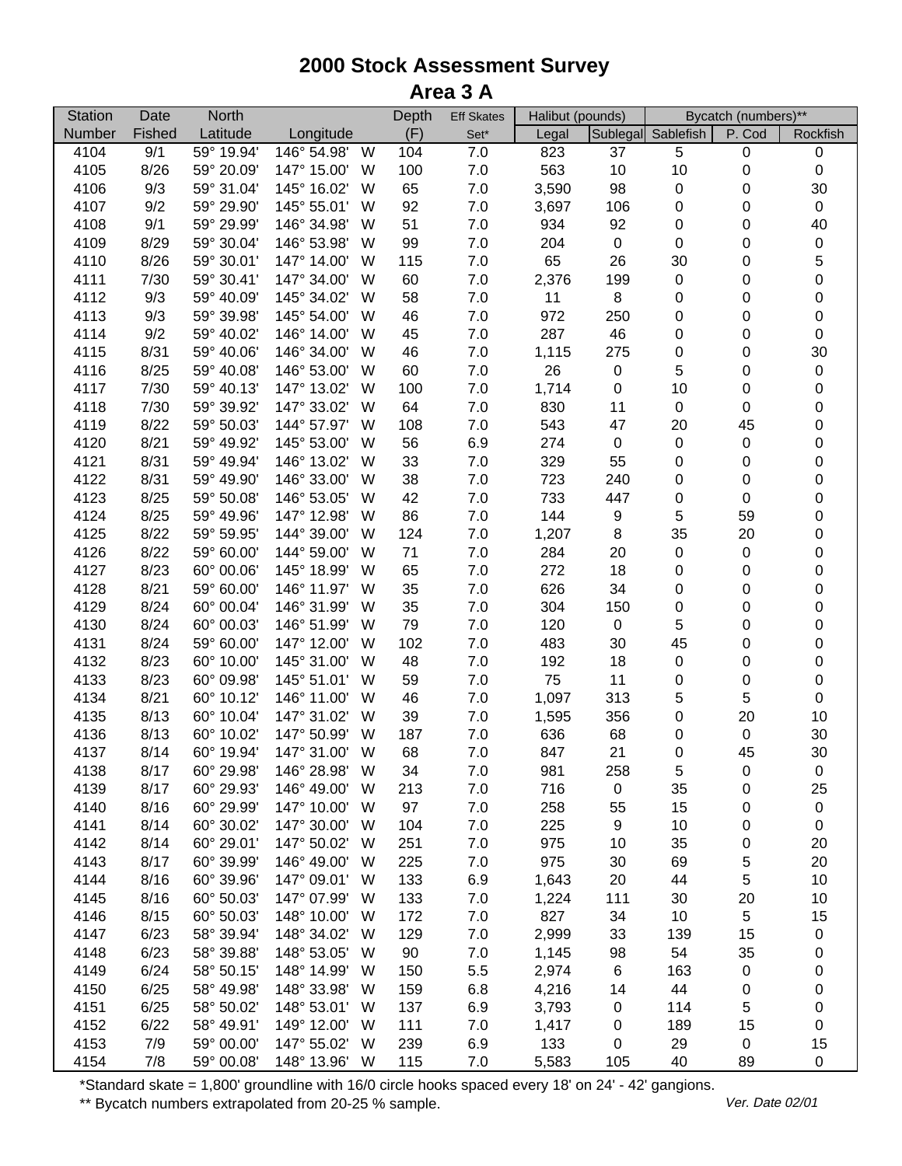| <b>Station</b> | Date   | <b>North</b> |             |   | Depth | <b>Eff Skates</b> | Halibut (pounds) |             |                    | Bycatch (numbers)** |                  |
|----------------|--------|--------------|-------------|---|-------|-------------------|------------------|-------------|--------------------|---------------------|------------------|
| Number         | Fished | Latitude     | Longitude   |   | (F)   | $Set^*$           | Legal            |             | Sublegal Sablefish | P. Cod              | Rockfish         |
| 4104           | 9/1    | 59° 19.94'   | 146° 54.98' | W | 104   | 7.0               | 823              | 37          | 5                  | $\pmb{0}$           | $\pmb{0}$        |
| 4105           | 8/26   | 59° 20.09'   | 147° 15.00' | W | 100   | $7.0$             | 563              | 10          | 10                 | $\pmb{0}$           | $\pmb{0}$        |
| 4106           | 9/3    | 59° 31.04'   | 145° 16.02' | W | 65    | 7.0               | 3,590            | 98          | 0                  | 0                   | 30               |
| 4107           | 9/2    | 59° 29.90'   | 145° 55.01' | W | 92    | 7.0               | 3,697            | 106         | 0                  | 0                   | $\pmb{0}$        |
| 4108           | 9/1    | 59° 29.99'   | 146° 34.98' | W | 51    | $7.0$             | 934              | 92          | 0                  | 0                   | 40               |
| 4109           | 8/29   | 59° 30.04'   | 146° 53.98' | W | 99    | $7.0$             | 204              | $\pmb{0}$   | $\boldsymbol{0}$   | 0                   | $\pmb{0}$        |
| 4110           | 8/26   | 59° 30.01'   | 147° 14.00' | W | 115   | $7.0$             | 65               | 26          | 30                 | 0                   | 5                |
| 4111           | 7/30   | 59° 30.41'   | 147° 34.00' | W | 60    | $7.0$             | 2,376            | 199         | $\pmb{0}$          | 0                   | $\mathbf 0$      |
| 4112           | 9/3    | 59° 40.09'   | 145° 34.02' | W | 58    | 7.0               | 11               | $\, 8$      | 0                  | 0                   | $\mathbf 0$      |
| 4113           | 9/3    | 59° 39.98'   | 145° 54.00' | W | 46    | 7.0               | 972              | 250         | 0                  | $\boldsymbol{0}$    | $\mathbf 0$      |
| 4114           | 9/2    | 59° 40.02'   | 146° 14.00' | W | 45    | 7.0               | 287              | 46          | 0                  | $\boldsymbol{0}$    | $\mathbf 0$      |
| 4115           | 8/31   | 59° 40.06'   | 146° 34.00' | W | 46    | 7.0               | 1,115            | 275         | $\pmb{0}$          | $\boldsymbol{0}$    | 30               |
| 4116           | 8/25   | 59° 40.08'   | 146° 53.00' | W | 60    | $7.0$             | 26               | $\pmb{0}$   | 5                  | $\boldsymbol{0}$    | $\pmb{0}$        |
| 4117           | 7/30   | 59° 40.13'   | 147° 13.02' | W | 100   | $7.0$             | 1,714            | $\pmb{0}$   | 10                 | $\boldsymbol{0}$    | $\mathbf 0$      |
| 4118           | 7/30   | 59° 39.92'   | 147° 33.02' | W | 64    | $7.0$             | 830              | 11          | $\pmb{0}$          | $\mathbf 0$         | $\boldsymbol{0}$ |
| 4119           | 8/22   | 59° 50.03'   | 144° 57.97' | W | 108   | 7.0               | 543              | 47          | 20                 | 45                  | $\mathbf 0$      |
| 4120           | 8/21   | 59° 49.92'   | 145° 53.00' | W | 56    | 6.9               | 274              | $\pmb{0}$   | $\pmb{0}$          | $\boldsymbol{0}$    | $\mathbf 0$      |
| 4121           | 8/31   | 59° 49.94'   | 146° 13.02' | W | 33    | 7.0               | 329              | 55          | $\boldsymbol{0}$   | 0                   | $\mathbf 0$      |
| 4122           | 8/31   | 59° 49.90'   | 146° 33.00' | W | 38    | $7.0$             | 723              | 240         | $\pmb{0}$          | $\boldsymbol{0}$    | $\mathbf 0$      |
| 4123           | 8/25   | 59° 50.08'   | 146° 53.05' | W | 42    | $7.0$             | 733              | 447         | $\pmb{0}$          | $\boldsymbol{0}$    | $\pmb{0}$        |
| 4124           | 8/25   | 59° 49.96'   | 147° 12.98' | W | 86    | 7.0               | 144              | 9           | 5                  | 59                  | 0                |
| 4125           | 8/22   | 59° 59.95'   | 144° 39.00' | W | 124   | 7.0               | 1,207            | 8           | 35                 | 20                  | 0                |
| 4126           | 8/22   | 59° 60.00'   | 144° 59.00' | W | 71    | 7.0               | 284              | 20          | $\boldsymbol{0}$   | $\boldsymbol{0}$    | 0                |
| 4127           | 8/23   | 60° 00.06'   | 145° 18.99' | W | 65    | $7.0$             | 272              | 18          | 0                  | 0                   | 0                |
| 4128           | 8/21   | 59° 60.00'   | 146° 11.97' | W | 35    | $7.0$             | 626              | 34          | $\pmb{0}$          | 0                   | 0                |
| 4129           | 8/24   | 60° 00.04'   | 146° 31.99' | W | 35    | $7.0$             | 304              | 150         | $\pmb{0}$          | $\boldsymbol{0}$    | 0                |
| 4130           | 8/24   | 60° 00.03'   | 146° 51.99' | W | 79    | 7.0               | 120              | $\mathbf 0$ | 5                  | $\boldsymbol{0}$    | $\mathbf 0$      |
| 4131           | 8/24   | 59° 60.00'   | 147° 12.00' | W | 102   | 7.0               | 483              | 30          | 45                 | $\boldsymbol{0}$    | $\mathbf 0$      |
| 4132           | 8/23   | 60° 10.00'   | 145° 31.00' | W | 48    | $7.0$             | 192              | 18          | $\pmb{0}$          | $\pmb{0}$           | $\mathbf 0$      |
| 4133           | 8/23   | 60° 09.98'   | 145° 51.01' | W | 59    | $7.0\,$           | 75               | 11          | $\pmb{0}$          | $\pmb{0}$           | $\mathbf 0$      |
| 4134           | 8/21   | 60° 10.12'   | 146° 11.00' | W | 46    | 7.0               | 1,097            | 313         | 5                  | 5                   | $\pmb{0}$        |
| 4135           | 8/13   | 60° 10.04'   | 147° 31.02' | W | 39    | 7.0               | 1,595            | 356         | $\pmb{0}$          | 20                  | $10$             |
| 4136           | 8/13   | 60° 10.02'   | 147° 50.99' | W | 187   | $7.0$             | 636              | 68          | 0                  | $\boldsymbol{0}$    | 30               |
| 4137           | 8/14   | 60° 19.94'   | 147° 31.00' | W | 68    | 7.0               | 847              | 21          | $\pmb{0}$          | 45                  | 30               |
| 4138           | 8/17   | 60° 29.98'   | 146° 28.98' | W | 34    | 7.0               | 981              | 258         | 5                  | 0                   | $\pmb{0}$        |
| 4139           | 8/17   | 60° 29.93'   | 146° 49.00' | W | 213   | 7.0               | 716              | $\pmb{0}$   | 35                 | 0                   | 25               |
| 4140           | 8/16   | 60° 29.99'   | 147° 10.00' | W | 97    | 7.0               | 258              | 55          | 15                 | 0                   | $\pmb{0}$        |
| 4141           | 8/14   | 60° 30.02'   | 147° 30.00' | W | 104   | 7.0               | 225              | 9           | 10                 | 0                   | 0                |
| 4142           | 8/14   | 60° 29.01'   | 147° 50.02' | W | 251   | 7.0               | 975              | 10          | 35                 | 0                   | 20               |
| 4143           | 8/17   | 60° 39.99'   | 146° 49.00' | W | 225   | 7.0               | 975              | 30          | 69                 | 5                   | 20               |
| 4144           | 8/16   | 60° 39.96'   | 147° 09.01' | W | 133   | 6.9               | 1,643            | 20          | 44                 | 5                   | 10               |
| 4145           | 8/16   | 60° 50.03'   | 147° 07.99' | W | 133   | 7.0               | 1,224            | 111         | 30                 | 20                  | 10               |
| 4146           | 8/15   | 60° 50.03'   | 148° 10.00' | W | 172   | 7.0               | 827              | 34          | 10                 | 5                   | 15               |
| 4147           | 6/23   | 58° 39.94'   | 148° 34.02' | W | 129   | 7.0               | 2,999            | 33          | 139                | 15                  | $\pmb{0}$        |
| 4148           | 6/23   | 58° 39.88'   | 148° 53.05' | W | 90    | 7.0               | 1,145            | 98          | 54                 | 35                  | $\pmb{0}$        |
| 4149           | 6/24   | 58° 50.15'   | 148° 14.99' | W | 150   | 5.5               | 2,974            | $\,6$       | 163                | $\pmb{0}$           | 0                |
| 4150           | 6/25   | 58° 49.98'   | 148° 33.98' | W | 159   | 6.8               | 4,216            | 14          | 44                 | 0                   | 0                |
| 4151           | 6/25   | 58° 50.02'   | 148° 53.01' | W | 137   | 6.9               | 3,793            | $\pmb{0}$   | 114                | 5                   | $\pmb{0}$        |
| 4152           | 6/22   | 58° 49.91'   | 149° 12.00' | W | 111   | 7.0               | 1,417            | 0           | 189                | 15                  | $\pmb{0}$        |
| 4153           | 7/9    | 59° 00.00'   | 147° 55.02' | W | 239   | 6.9               | 133              | 0           | 29                 | $\boldsymbol{0}$    | 15               |
| 4154           | 7/8    | 59° 00.08'   | 148° 13.96' | W | 115   | 7.0               | 5,583            | 105         | 40                 | 89                  | 0                |

\*Standard skate = 1,800' groundline with 16/0 circle hooks spaced every 18' on 24' - 42' gangions.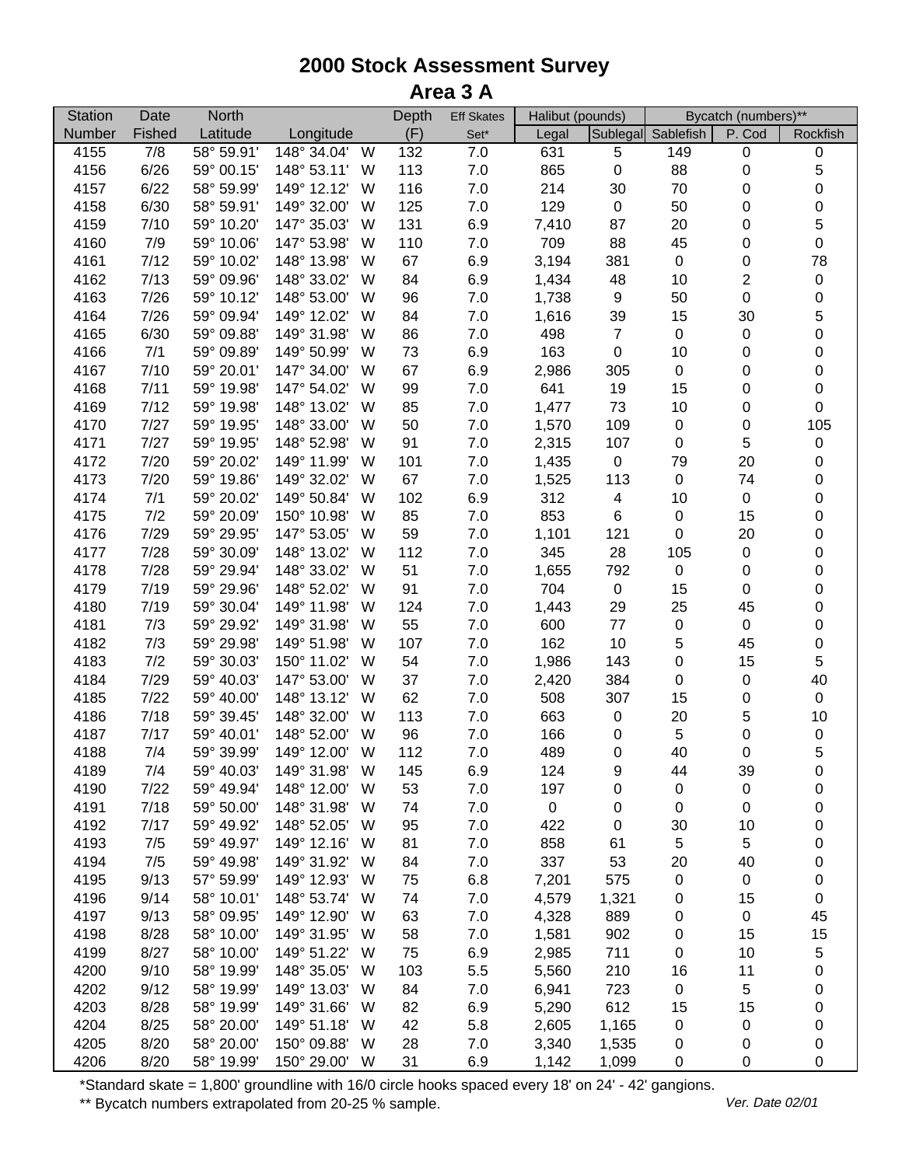| <b>Station</b> | Date   | <b>North</b> |                  | Depth | <b>Eff Skates</b> | Halibut (pounds) |                  |                    | Bycatch (numbers)** |             |
|----------------|--------|--------------|------------------|-------|-------------------|------------------|------------------|--------------------|---------------------|-------------|
| Number         | Fished | Latitude     | Longitude        | (F)   | Set*              | Legal            |                  | Sublegal Sablefish | P. Cod              | Rockfish    |
| 4155           | 7/8    | 58° 59.91'   | 148° 34.04'<br>W | 132   | 7.0               | 631              | 5                | 149                | $\pmb{0}$           | $\pmb{0}$   |
| 4156           | 6/26   | 59° 00.15'   | 148° 53.11'<br>W | 113   | $7.0$             | 865              | $\pmb{0}$        | 88                 | $\pmb{0}$           | $\sqrt{5}$  |
| 4157           | 6/22   | 58° 59.99'   | 149° 12.12'<br>W | 116   | $7.0$             | 214              | 30               | 70                 | 0                   | $\mathbf 0$ |
| 4158           | 6/30   | 58° 59.91'   | 149° 32.00'<br>W | 125   | $7.0$             | 129              | $\pmb{0}$        | 50                 | 0                   | $\mathbf 0$ |
| 4159           | 7/10   | 59° 10.20'   | 147° 35.03'<br>W | 131   | 6.9               | 7,410            | 87               | 20                 | $\boldsymbol{0}$    | 5           |
| 4160           | 7/9    | 59° 10.06'   | 147° 53.98'<br>W | 110   | $7.0$             | 709              | 88               | 45                 | $\mathbf 0$         | $\mathbf 0$ |
| 4161           | 7/12   | 59° 10.02'   | 148° 13.98'<br>W | 67    | 6.9               | 3,194            | 381              | $\pmb{0}$          | $\pmb{0}$           | 78          |
| 4162           | 7/13   | 59° 09.96'   | 148° 33.02'<br>W | 84    | 6.9               | 1,434            | 48               | 10                 | 2                   | $\pmb{0}$   |
| 4163           | 7/26   | 59° 10.12'   | 148° 53.00'<br>W | 96    | 7.0               | 1,738            | $\boldsymbol{9}$ | 50                 | $\boldsymbol{0}$    | $\mathbf 0$ |
| 4164           | 7/26   | 59° 09.94'   | 149° 12.02'<br>W | 84    | $7.0$             | 1,616            | 39               | 15                 | 30                  | 5           |
| 4165           | 6/30   | 59° 09.88'   | 149° 31.98'<br>W | 86    | 7.0               | 498              | $\overline{7}$   | $\pmb{0}$          | $\boldsymbol{0}$    | $\mathbf 0$ |
| 4166           | 7/1    | 59° 09.89'   | 149° 50.99'<br>W | 73    | 6.9               | 163              | $\boldsymbol{0}$ | 10                 | $\boldsymbol{0}$    | $\mathbf 0$ |
| 4167           | 7/10   | 59° 20.01'   | 147° 34.00'<br>W | 67    | 6.9               | 2,986            | 305              | $\pmb{0}$          | 0                   | $\mathbf 0$ |
| 4168           | 7/11   | 59° 19.98'   | 147° 54.02'<br>W | 99    | $7.0$             | 641              | 19               | 15                 | $\boldsymbol{0}$    | $\mathbf 0$ |
| 4169           | 7/12   | 59° 19.98'   | 148° 13.02'<br>W | 85    | $7.0$             | 1,477            | 73               | 10                 | $\boldsymbol{0}$    | $\pmb{0}$   |
| 4170           | 7/27   | 59° 19.95'   | 148° 33.00'<br>W | 50    | $7.0\,$           | 1,570            | 109              | $\pmb{0}$          | $\boldsymbol{0}$    | 105         |
| 4171           | 7/27   | 59° 19.95'   | 148° 52.98'<br>W | 91    | $7.0\,$           | 2,315            | 107              | $\boldsymbol{0}$   | 5                   | $\pmb{0}$   |
| 4172           | 7/20   | 59° 20.02'   | 149° 11.99'<br>W | 101   | 7.0               | 1,435            | $\pmb{0}$        | 79                 | 20                  | $\mathbf 0$ |
| 4173           | 7/20   | 59° 19.86'   | 149° 32.02'<br>W | 67    | $7.0$             | 1,525            | 113              | $\pmb{0}$          | 74                  | $\mathbf 0$ |
| 4174           | 7/1    | 59° 20.02'   | 149° 50.84'<br>W | 102   | 6.9               | 312              | 4                | 10                 | $\boldsymbol{0}$    | $\mathbf 0$ |
| 4175           | 7/2    | 59° 20.09'   | 150° 10.98'<br>W | 85    | 7.0               | 853              | $\,6$            | $\pmb{0}$          | 15                  | $\mathbf 0$ |
| 4176           | 7/29   | 59° 29.95'   | 147° 53.05'<br>W | 59    | $7.0$             | 1,101            | 121              | $\boldsymbol{0}$   | 20                  | 0           |
| 4177           | 7/28   | 59° 30.09'   | 148° 13.02'<br>W | 112   | 7.0               | 345              | 28               | 105                | $\boldsymbol{0}$    | 0           |
| 4178           | 7/28   | 59° 29.94'   | 148° 33.02'<br>W | 51    | $7.0\,$           | 1,655            | 792              | $\pmb{0}$          | $\boldsymbol{0}$    | 0           |
| 4179           | 7/19   | 59° 29.96'   | 148° 52.02'<br>W | 91    | $7.0\,$           | 704              | $\pmb{0}$        | 15                 | $\boldsymbol{0}$    | $\mathbf 0$ |
| 4180           | 7/19   | 59° 30.04'   | 149° 11.98'<br>W | 124   | $7.0$             | 1,443            | 29               | 25                 | 45                  | $\mathbf 0$ |
| 4181           | 7/3    | 59° 29.92'   | 149° 31.98'<br>W | 55    | 7.0               | 600              | 77               | $\pmb{0}$          | $\pmb{0}$           | $\mathbf 0$ |
| 4182           | 7/3    | 59° 29.98'   | 149° 51.98'<br>W | 107   | 7.0               | 162              | $10$             | 5                  | 45                  | $\mathbf 0$ |
| 4183           | 7/2    | 59° 30.03'   | 150° 11.02'<br>W | 54    | $7.0\,$           | 1,986            | 143              | $\pmb{0}$          | 15                  | 5           |
| 4184           | 7/29   | 59° 40.03'   | 147° 53.00'<br>W | 37    | $7.0\,$           | 2,420            | 384              | $\pmb{0}$          | $\boldsymbol{0}$    | 40          |
| 4185           | 7/22   | 59° 40.00'   | 148° 13.12'<br>W | 62    | 7.0               | 508              | 307              | 15                 | 0                   | $\pmb{0}$   |
| 4186           | 7/18   | 59° 39.45'   | 148° 32.00'<br>W | 113   | 7.0               | 663              | $\pmb{0}$        | 20                 | 5                   | 10          |
| 4187           | 7/17   | 59° 40.01'   | 148° 52.00'<br>W | 96    | $7.0$             | 166              | 0                | 5                  | $\boldsymbol{0}$    | $\pmb{0}$   |
| 4188           | 7/4    | 59° 39.99'   | W<br>149° 12.00' | 112   | 7.0               | 489              | $\pmb{0}$        | 40                 | $\boldsymbol{0}$    | 5           |
| 4189           | 7/4    | 59° 40.03'   | 149° 31.98'<br>W | 145   | 6.9               | 124              | 9                | 44                 | 39                  | 0           |
| 4190           | 7/22   | 59° 49.94'   | 148° 12.00'<br>W | 53    | 7.0               | 197              | 0                | 0                  | $\pmb{0}$           | 0           |
| 4191           | 7/18   | 59° 50.00'   | 148° 31.98'<br>W | 74    | 7.0               | $\pmb{0}$        | 0                | $\pmb{0}$          | $\boldsymbol{0}$    | 0           |
| 4192           | 7/17   | 59° 49.92'   | 148° 52.05'<br>W | 95    | 7.0               | 422              | $\pmb{0}$        | 30                 | 10                  | 0           |
| 4193           | 7/5    | 59° 49.97'   | 149° 12.16'<br>W | 81    | 7.0               | 858              | 61               | $\sqrt{5}$         | 5                   | 0           |
| 4194           | 7/5    | 59° 49.98'   | 149° 31.92'<br>W | 84    | 7.0               | 337              | 53               | 20                 | 40                  | 0           |
| 4195           | 9/13   | 57° 59.99'   | 149° 12.93'<br>W | 75    | 6.8               | 7,201            | 575              | 0                  | $\boldsymbol{0}$    | 0           |
| 4196           | 9/14   | 58° 10.01'   | 148° 53.74'<br>W | 74    | $7.0$             | 4,579            | 1,321            | 0                  | 15                  | $\pmb{0}$   |
| 4197           | 9/13   | 58° 09.95'   | 149° 12.90'<br>W | 63    | 7.0               | 4,328            | 889              | 0                  | $\boldsymbol{0}$    | 45          |
| 4198           | 8/28   | 58° 10.00'   | 149° 31.95'<br>W | 58    | 7.0               | 1,581            | 902              | 0                  | 15                  | 15          |
| 4199           | 8/27   | 58° 10.00'   | 149° 51.22'<br>W | 75    | 6.9               | 2,985            | 711              | 0                  | 10                  | 5           |
| 4200           | 9/10   | 58° 19.99'   | 148° 35.05'<br>W | 103   | 5.5               | 5,560            | 210              | 16                 | 11                  | $\pmb{0}$   |
| 4202           | 9/12   | 58° 19.99'   | 149° 13.03'<br>W | 84    | 7.0               | 6,941            | 723              | $\pmb{0}$          | 5                   | 0           |
| 4203           | 8/28   | 58° 19.99'   | 149° 31.66'<br>W | 82    | 6.9               | 5,290            | 612              | 15                 | 15                  | 0           |
| 4204           | 8/25   | 58° 20.00'   | 149° 51.18'<br>W | 42    | 5.8               | 2,605            | 1,165            | 0                  | 0                   | 0           |
| 4205           | 8/20   | 58° 20.00'   | 150° 09.88'<br>W | 28    | 7.0               | 3,340            | 1,535            | 0                  | 0                   | $\pmb{0}$   |
| 4206           | 8/20   | 58° 19.99'   | 150° 29.00'<br>W | 31    | 6.9               |                  | 1,099            |                    |                     | 0           |
|                |        |              |                  |       |                   | 1,142            |                  | 0                  | 0                   |             |

\*Standard skate = 1,800' groundline with 16/0 circle hooks spaced every 18' on 24' - 42' gangions.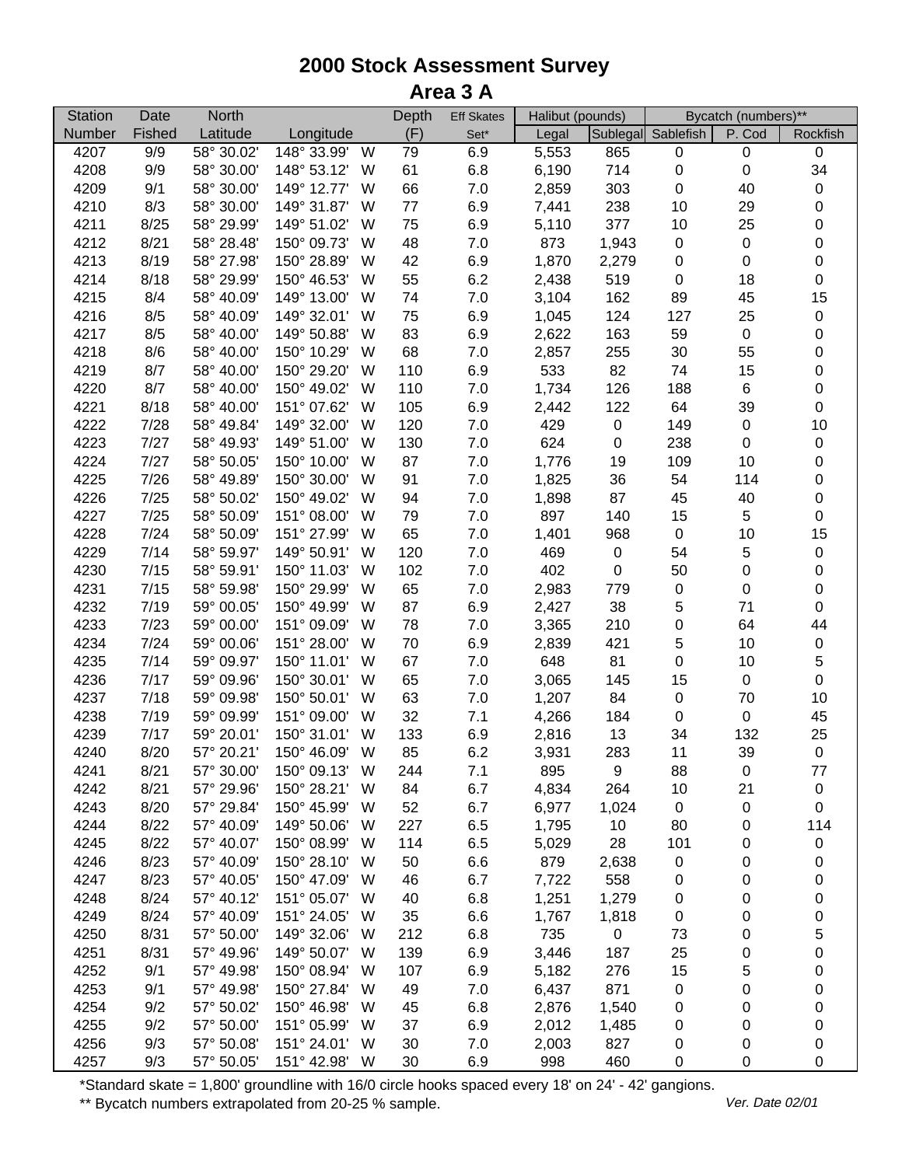| Sublegal Sablefish<br>Number<br>Fished<br>Latitude<br>Longitude<br>(F)<br>P. Cod<br>Rockfish<br>$Set^*$<br>Legal<br>4207<br>9/9<br>58° 30.02'<br>148° 33.99'<br>6.9<br>5,553<br>865<br>$\pmb{0}$<br>W<br>79<br>$\pmb{0}$<br>$\mathbf 0$<br>34<br>4208<br>9/9<br>58° 30.00'<br>148° 53.12'<br>61<br>6.8<br>6,190<br>714<br>$\pmb{0}$<br>W<br>$\pmb{0}$<br>303<br>$\pmb{0}$<br>4209<br>9/1<br>58° 30.00'<br>149° 12.77'<br>66<br>$7.0$<br>2,859<br>40<br>W<br>$\pmb{0}$<br>6.9<br>$\mathbf 0$<br>4210<br>8/3<br>58° 30.00'<br>149° 31.87'<br>77<br>7,441<br>238<br>10<br>29<br>W<br>75<br>6.9<br>$\mathbf 0$<br>4211<br>8/25<br>58° 29.99'<br>149° 51.02'<br>5,110<br>377<br>10<br>25<br>W<br>48<br>873<br>$\mathbf 0$<br>4212<br>8/21<br>58° 28.48'<br>150° 09.73'<br>W<br>$7.0\,$<br>1,943<br>$\pmb{0}$<br>$\boldsymbol{0}$<br>42<br>6.9<br>2,279<br>$\mathbf 0$<br>4213<br>8/19<br>58° 27.98'<br>150° 28.89'<br>W<br>1,870<br>$\pmb{0}$<br>$\boldsymbol{0}$<br>$\mathbf 0$<br>55<br>6.2<br>$\pmb{0}$<br>8/18<br>58° 29.99'<br>150° 46.53'<br>2,438<br>519<br>18<br>4214<br>W<br>15<br>4215<br>8/4<br>58° 40.09'<br>149° 13.00'<br>74<br>$7.0$<br>3,104<br>162<br>89<br>45<br>W<br>$\pmb{0}$<br>4216<br>8/5<br>58° 40.09'<br>149° 32.01'<br>W<br>75<br>6.9<br>1,045<br>124<br>127<br>25<br>$\mathbf 0$<br>83<br>6.9<br>4217<br>8/5<br>58° 40.00'<br>149° 50.88'<br>W<br>2,622<br>163<br>59<br>$\pmb{0}$<br>$\mathbf 0$<br>68<br>$30\,$<br>4218<br>8/6<br>58° 40.00'<br>150° 10.29'<br>W<br>$7.0$<br>2,857<br>255<br>55 |  |
|------------------------------------------------------------------------------------------------------------------------------------------------------------------------------------------------------------------------------------------------------------------------------------------------------------------------------------------------------------------------------------------------------------------------------------------------------------------------------------------------------------------------------------------------------------------------------------------------------------------------------------------------------------------------------------------------------------------------------------------------------------------------------------------------------------------------------------------------------------------------------------------------------------------------------------------------------------------------------------------------------------------------------------------------------------------------------------------------------------------------------------------------------------------------------------------------------------------------------------------------------------------------------------------------------------------------------------------------------------------------------------------------------------------------------------------------------------------------------------------------------------------------|--|
|                                                                                                                                                                                                                                                                                                                                                                                                                                                                                                                                                                                                                                                                                                                                                                                                                                                                                                                                                                                                                                                                                                                                                                                                                                                                                                                                                                                                                                                                                                                        |  |
|                                                                                                                                                                                                                                                                                                                                                                                                                                                                                                                                                                                                                                                                                                                                                                                                                                                                                                                                                                                                                                                                                                                                                                                                                                                                                                                                                                                                                                                                                                                        |  |
|                                                                                                                                                                                                                                                                                                                                                                                                                                                                                                                                                                                                                                                                                                                                                                                                                                                                                                                                                                                                                                                                                                                                                                                                                                                                                                                                                                                                                                                                                                                        |  |
|                                                                                                                                                                                                                                                                                                                                                                                                                                                                                                                                                                                                                                                                                                                                                                                                                                                                                                                                                                                                                                                                                                                                                                                                                                                                                                                                                                                                                                                                                                                        |  |
|                                                                                                                                                                                                                                                                                                                                                                                                                                                                                                                                                                                                                                                                                                                                                                                                                                                                                                                                                                                                                                                                                                                                                                                                                                                                                                                                                                                                                                                                                                                        |  |
|                                                                                                                                                                                                                                                                                                                                                                                                                                                                                                                                                                                                                                                                                                                                                                                                                                                                                                                                                                                                                                                                                                                                                                                                                                                                                                                                                                                                                                                                                                                        |  |
|                                                                                                                                                                                                                                                                                                                                                                                                                                                                                                                                                                                                                                                                                                                                                                                                                                                                                                                                                                                                                                                                                                                                                                                                                                                                                                                                                                                                                                                                                                                        |  |
|                                                                                                                                                                                                                                                                                                                                                                                                                                                                                                                                                                                                                                                                                                                                                                                                                                                                                                                                                                                                                                                                                                                                                                                                                                                                                                                                                                                                                                                                                                                        |  |
|                                                                                                                                                                                                                                                                                                                                                                                                                                                                                                                                                                                                                                                                                                                                                                                                                                                                                                                                                                                                                                                                                                                                                                                                                                                                                                                                                                                                                                                                                                                        |  |
|                                                                                                                                                                                                                                                                                                                                                                                                                                                                                                                                                                                                                                                                                                                                                                                                                                                                                                                                                                                                                                                                                                                                                                                                                                                                                                                                                                                                                                                                                                                        |  |
|                                                                                                                                                                                                                                                                                                                                                                                                                                                                                                                                                                                                                                                                                                                                                                                                                                                                                                                                                                                                                                                                                                                                                                                                                                                                                                                                                                                                                                                                                                                        |  |
|                                                                                                                                                                                                                                                                                                                                                                                                                                                                                                                                                                                                                                                                                                                                                                                                                                                                                                                                                                                                                                                                                                                                                                                                                                                                                                                                                                                                                                                                                                                        |  |
|                                                                                                                                                                                                                                                                                                                                                                                                                                                                                                                                                                                                                                                                                                                                                                                                                                                                                                                                                                                                                                                                                                                                                                                                                                                                                                                                                                                                                                                                                                                        |  |
| $\mathbf 0$<br>110<br>533<br>82<br>4219<br>8/7<br>58° 40.00'<br>150° 29.20'<br>W<br>6.9<br>74<br>15                                                                                                                                                                                                                                                                                                                                                                                                                                                                                                                                                                                                                                                                                                                                                                                                                                                                                                                                                                                                                                                                                                                                                                                                                                                                                                                                                                                                                    |  |
| $\mathbf 0$<br>110<br>$7.0\,$<br>4220<br>8/7<br>58° 40.00'<br>150° 49.02'<br>1,734<br>126<br>188<br>$\,6$<br>W                                                                                                                                                                                                                                                                                                                                                                                                                                                                                                                                                                                                                                                                                                                                                                                                                                                                                                                                                                                                                                                                                                                                                                                                                                                                                                                                                                                                         |  |
| 105<br>6.9<br>$\pmb{0}$<br>4221<br>8/18<br>58° 40.00'<br>151° 07.62'<br>2,442<br>122<br>64<br>39<br>W                                                                                                                                                                                                                                                                                                                                                                                                                                                                                                                                                                                                                                                                                                                                                                                                                                                                                                                                                                                                                                                                                                                                                                                                                                                                                                                                                                                                                  |  |
| 10<br>4222<br>7/28<br>149° 32.00'<br>120<br>7.0<br>429<br>149<br>$\boldsymbol{0}$<br>58° 49.84'<br>W<br>$\pmb{0}$                                                                                                                                                                                                                                                                                                                                                                                                                                                                                                                                                                                                                                                                                                                                                                                                                                                                                                                                                                                                                                                                                                                                                                                                                                                                                                                                                                                                      |  |
| 624<br>$\mathbf 0$<br>4223<br>7/27<br>130<br>$7.0\,$<br>238<br>$\boldsymbol{0}$<br>58° 49.93'<br>149° 51.00'<br>W<br>$\pmb{0}$                                                                                                                                                                                                                                                                                                                                                                                                                                                                                                                                                                                                                                                                                                                                                                                                                                                                                                                                                                                                                                                                                                                                                                                                                                                                                                                                                                                         |  |
| $\mathbf 0$<br>4224<br>7/27<br>58° 50.05'<br>150° 10.00'<br>87<br>$7.0\,$<br>1,776<br>19<br>109<br>10<br>W                                                                                                                                                                                                                                                                                                                                                                                                                                                                                                                                                                                                                                                                                                                                                                                                                                                                                                                                                                                                                                                                                                                                                                                                                                                                                                                                                                                                             |  |
| 91<br>$\mathbf 0$<br>4225<br>7/26<br>58° 49.89'<br>150° 30.00'<br>$7.0\,$<br>1,825<br>36<br>54<br>114<br>W                                                                                                                                                                                                                                                                                                                                                                                                                                                                                                                                                                                                                                                                                                                                                                                                                                                                                                                                                                                                                                                                                                                                                                                                                                                                                                                                                                                                             |  |
| 7/25<br>94<br>$7.0$<br>87<br>$\mathbf 0$<br>4226<br>58° 50.02'<br>150° 49.02'<br>1,898<br>45<br>40<br>W                                                                                                                                                                                                                                                                                                                                                                                                                                                                                                                                                                                                                                                                                                                                                                                                                                                                                                                                                                                                                                                                                                                                                                                                                                                                                                                                                                                                                |  |
| 5<br>$\pmb{0}$<br>4227<br>7/25<br>58° 50.09'<br>151° 08.00'<br>79<br>7.0<br>897<br>15<br>W<br>140                                                                                                                                                                                                                                                                                                                                                                                                                                                                                                                                                                                                                                                                                                                                                                                                                                                                                                                                                                                                                                                                                                                                                                                                                                                                                                                                                                                                                      |  |
| 65<br>7.0<br>15<br>4228<br>7/24<br>58° 50.09'<br>151° 27.99'<br>W<br>1,401<br>$\pmb{0}$<br>10<br>968                                                                                                                                                                                                                                                                                                                                                                                                                                                                                                                                                                                                                                                                                                                                                                                                                                                                                                                                                                                                                                                                                                                                                                                                                                                                                                                                                                                                                   |  |
| 7/14<br>120<br>7.0<br>5<br>4229<br>58° 59.97'<br>149° 50.91'<br>W<br>469<br>$\pmb{0}$<br>54<br>$\pmb{0}$                                                                                                                                                                                                                                                                                                                                                                                                                                                                                                                                                                                                                                                                                                                                                                                                                                                                                                                                                                                                                                                                                                                                                                                                                                                                                                                                                                                                               |  |
| 7/15<br>7.0<br>402<br>$\mathbf 0$<br>4230<br>58° 59.91'<br>150° 11.03'<br>W<br>102<br>$\pmb{0}$<br>50<br>$\boldsymbol{0}$                                                                                                                                                                                                                                                                                                                                                                                                                                                                                                                                                                                                                                                                                                                                                                                                                                                                                                                                                                                                                                                                                                                                                                                                                                                                                                                                                                                              |  |
| $\mathbf 0$<br>65<br>$7.0\,$<br>$\pmb{0}$<br>$\boldsymbol{0}$<br>4231<br>7/15<br>58° 59.98'<br>150° 29.99'<br>W<br>2,983<br>779                                                                                                                                                                                                                                                                                                                                                                                                                                                                                                                                                                                                                                                                                                                                                                                                                                                                                                                                                                                                                                                                                                                                                                                                                                                                                                                                                                                        |  |
| 5<br>$\mathbf 0$<br>6.9<br>71<br>4232<br>7/19<br>59° 00.05'<br>150° 49.99'<br>87<br>2,427<br>38<br>W                                                                                                                                                                                                                                                                                                                                                                                                                                                                                                                                                                                                                                                                                                                                                                                                                                                                                                                                                                                                                                                                                                                                                                                                                                                                                                                                                                                                                   |  |
| $\pmb{0}$<br>44<br>4233<br>7/23<br>59° 00.00'<br>151° 09.09'<br>W<br>78<br>$7.0\,$<br>3,365<br>210<br>64                                                                                                                                                                                                                                                                                                                                                                                                                                                                                                                                                                                                                                                                                                                                                                                                                                                                                                                                                                                                                                                                                                                                                                                                                                                                                                                                                                                                               |  |
| 5<br>7/24<br>6.9<br>421<br>$\pmb{0}$<br>4234<br>59° 00.06'<br>151° 28.00'<br>W<br>70<br>2,839<br>10                                                                                                                                                                                                                                                                                                                                                                                                                                                                                                                                                                                                                                                                                                                                                                                                                                                                                                                                                                                                                                                                                                                                                                                                                                                                                                                                                                                                                    |  |
| 5<br>81<br>$\pmb{0}$<br>4235<br>7/14<br>59° 09.97'<br>150° 11.01'<br>W<br>67<br>$7.0\,$<br>648<br>10                                                                                                                                                                                                                                                                                                                                                                                                                                                                                                                                                                                                                                                                                                                                                                                                                                                                                                                                                                                                                                                                                                                                                                                                                                                                                                                                                                                                                   |  |
| $\pmb{0}$<br>4236<br>7/17<br>59° 09.96'<br>150° 30.01'<br>W<br>65<br>$7.0\,$<br>3,065<br>145<br>15<br>$\pmb{0}$                                                                                                                                                                                                                                                                                                                                                                                                                                                                                                                                                                                                                                                                                                                                                                                                                                                                                                                                                                                                                                                                                                                                                                                                                                                                                                                                                                                                        |  |
| 63<br>$10$<br>4237<br>7/18<br>59° 09.98'<br>150° 50.01'<br>$7.0\,$<br>84<br>$\pmb{0}$<br>70<br>W<br>1,207                                                                                                                                                                                                                                                                                                                                                                                                                                                                                                                                                                                                                                                                                                                                                                                                                                                                                                                                                                                                                                                                                                                                                                                                                                                                                                                                                                                                              |  |
| 32<br>7.1<br>45<br>4238<br>7/19<br>151° 09.00'<br>4,266<br>184<br>$\pmb{0}$<br>59° 09.99'<br>W<br>$\pmb{0}$                                                                                                                                                                                                                                                                                                                                                                                                                                                                                                                                                                                                                                                                                                                                                                                                                                                                                                                                                                                                                                                                                                                                                                                                                                                                                                                                                                                                            |  |
| 25<br>4239<br>7/17<br>150° 31.01'<br>133<br>6.9<br>13<br>132<br>59° 20.01'<br>W<br>2,816<br>34                                                                                                                                                                                                                                                                                                                                                                                                                                                                                                                                                                                                                                                                                                                                                                                                                                                                                                                                                                                                                                                                                                                                                                                                                                                                                                                                                                                                                         |  |
| 85<br>6.2<br>$\pmb{0}$<br>4240<br>8/20<br>150° 46.09'<br>11<br>39<br>57° 20.21'<br>W<br>3,931<br>283                                                                                                                                                                                                                                                                                                                                                                                                                                                                                                                                                                                                                                                                                                                                                                                                                                                                                                                                                                                                                                                                                                                                                                                                                                                                                                                                                                                                                   |  |
| 4241<br>8/21<br>57° 30.00'<br>150° 09.13'<br>244<br>7.1<br>895<br>9<br>88<br>$\boldsymbol{0}$<br>77<br>W                                                                                                                                                                                                                                                                                                                                                                                                                                                                                                                                                                                                                                                                                                                                                                                                                                                                                                                                                                                                                                                                                                                                                                                                                                                                                                                                                                                                               |  |
| 8/21<br>150° 28.21'<br>84<br>6.7<br>264<br>10<br>21<br>4242<br>57° 29.96'<br>W<br>4,834<br>$\pmb{0}$                                                                                                                                                                                                                                                                                                                                                                                                                                                                                                                                                                                                                                                                                                                                                                                                                                                                                                                                                                                                                                                                                                                                                                                                                                                                                                                                                                                                                   |  |
| 8/20<br>57° 29.84'<br>150° 45.99'<br>52<br>6.7<br>6,977<br>4243<br>W<br>1,024<br>0<br>0<br>0                                                                                                                                                                                                                                                                                                                                                                                                                                                                                                                                                                                                                                                                                                                                                                                                                                                                                                                                                                                                                                                                                                                                                                                                                                                                                                                                                                                                                           |  |
| 8/22<br>227<br>6.5<br>80<br>114<br>4244<br>57° 40.09'<br>149° 50.06'<br>W<br>1,795<br>10<br>0                                                                                                                                                                                                                                                                                                                                                                                                                                                                                                                                                                                                                                                                                                                                                                                                                                                                                                                                                                                                                                                                                                                                                                                                                                                                                                                                                                                                                          |  |
| 8/22<br>57° 40.07'<br>150° 08.99'<br>114<br>6.5<br>28<br>101<br>4245<br>W<br>5,029<br>0<br>$\pmb{0}$                                                                                                                                                                                                                                                                                                                                                                                                                                                                                                                                                                                                                                                                                                                                                                                                                                                                                                                                                                                                                                                                                                                                                                                                                                                                                                                                                                                                                   |  |
| 8/23<br>57° 40.09'<br>150° 28.10'<br>50<br>6.6<br>879<br>0<br>4246<br>W<br>2,638<br>0<br>0                                                                                                                                                                                                                                                                                                                                                                                                                                                                                                                                                                                                                                                                                                                                                                                                                                                                                                                                                                                                                                                                                                                                                                                                                                                                                                                                                                                                                             |  |
| 8/23<br>57° 40.05'<br>150° 47.09'<br>46<br>6.7<br>7,722<br>558<br>4247<br>W<br>0<br>0<br>0                                                                                                                                                                                                                                                                                                                                                                                                                                                                                                                                                                                                                                                                                                                                                                                                                                                                                                                                                                                                                                                                                                                                                                                                                                                                                                                                                                                                                             |  |
| 4248<br>8/24<br>57° 40.12'<br>151° 05.07'<br>40<br>6.8<br>1,251<br>1,279<br>0<br>0<br>W<br>0                                                                                                                                                                                                                                                                                                                                                                                                                                                                                                                                                                                                                                                                                                                                                                                                                                                                                                                                                                                                                                                                                                                                                                                                                                                                                                                                                                                                                           |  |
| 4249<br>8/24<br>57° 40.09'<br>151° 24.05'<br>35<br>6.6<br>$\pmb{0}$<br>W<br>1,767<br>1,818<br>0<br>0                                                                                                                                                                                                                                                                                                                                                                                                                                                                                                                                                                                                                                                                                                                                                                                                                                                                                                                                                                                                                                                                                                                                                                                                                                                                                                                                                                                                                   |  |
| 5<br>8/31<br>212<br>4250<br>57° 50.00'<br>149° 32.06'<br>6.8<br>735<br>$\pmb{0}$<br>73<br>W<br>0                                                                                                                                                                                                                                                                                                                                                                                                                                                                                                                                                                                                                                                                                                                                                                                                                                                                                                                                                                                                                                                                                                                                                                                                                                                                                                                                                                                                                       |  |
| 8/31<br>0<br>4251<br>57° 49.96'<br>149° 50.07'<br>139<br>6.9<br>3,446<br>187<br>25<br>W<br>0                                                                                                                                                                                                                                                                                                                                                                                                                                                                                                                                                                                                                                                                                                                                                                                                                                                                                                                                                                                                                                                                                                                                                                                                                                                                                                                                                                                                                           |  |
| 4252<br>9/1<br>57° 49.98'<br>150° 08.94'<br>107<br>6.9<br>276<br>15<br>5<br>0<br>W<br>5,182                                                                                                                                                                                                                                                                                                                                                                                                                                                                                                                                                                                                                                                                                                                                                                                                                                                                                                                                                                                                                                                                                                                                                                                                                                                                                                                                                                                                                            |  |
| 4253<br>9/1<br>57° 49.98'<br>150° 27.84'<br>49<br>$7.0$<br>871<br>W<br>6,437<br>0<br>0<br>0                                                                                                                                                                                                                                                                                                                                                                                                                                                                                                                                                                                                                                                                                                                                                                                                                                                                                                                                                                                                                                                                                                                                                                                                                                                                                                                                                                                                                            |  |
| 4254<br>9/2<br>150° 46.98'<br>6.8<br>57° 50.02'<br>W<br>45<br>2,876<br>1,540<br>0<br>0<br>0                                                                                                                                                                                                                                                                                                                                                                                                                                                                                                                                                                                                                                                                                                                                                                                                                                                                                                                                                                                                                                                                                                                                                                                                                                                                                                                                                                                                                            |  |
| 4255<br>9/2<br>151° 05.99'<br>37<br>6.9<br>57° 50.00'<br>W<br>0<br>$\pmb{0}$<br>2,012<br>1,485<br>0                                                                                                                                                                                                                                                                                                                                                                                                                                                                                                                                                                                                                                                                                                                                                                                                                                                                                                                                                                                                                                                                                                                                                                                                                                                                                                                                                                                                                    |  |
| 4256<br>9/3<br>57° 50.08'<br>151° 24.01'<br>W<br>30<br>7.0<br>827<br>$\pmb{0}$<br>2,003<br>0<br>0                                                                                                                                                                                                                                                                                                                                                                                                                                                                                                                                                                                                                                                                                                                                                                                                                                                                                                                                                                                                                                                                                                                                                                                                                                                                                                                                                                                                                      |  |
| 4257<br>9/3<br>57° 50.05'<br>151° 42.98'<br>W<br>30<br>6.9<br>998<br>460<br>0<br>0<br>0                                                                                                                                                                                                                                                                                                                                                                                                                                                                                                                                                                                                                                                                                                                                                                                                                                                                                                                                                                                                                                                                                                                                                                                                                                                                                                                                                                                                                                |  |

\*Standard skate = 1,800' groundline with 16/0 circle hooks spaced every 18' on 24' - 42' gangions.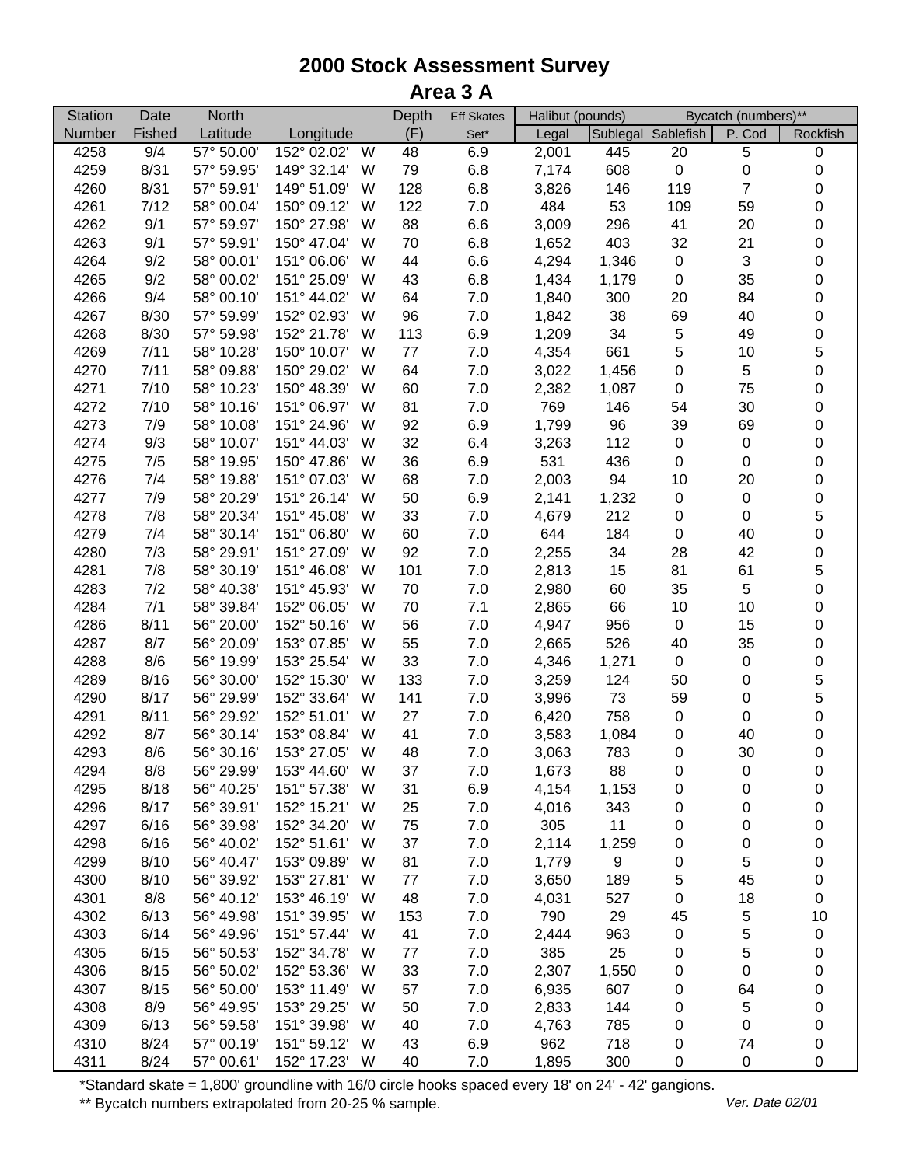| <b>Station</b> | Date   | <b>North</b> |             |   | Depth | <b>Eff Skates</b> | Halibut (pounds) |                  |                    | Bycatch (numbers)** |                  |
|----------------|--------|--------------|-------------|---|-------|-------------------|------------------|------------------|--------------------|---------------------|------------------|
| Number         | Fished | Latitude     | Longitude   |   | (F)   | $Set^*$           | Legal            |                  | Sublegal Sablefish | P. Cod              | Rockfish         |
| 4258           | 9/4    | 57° 50.00'   | 152° 02.02' | W | 48    | 6.9               | 2,001            | 445              | 20                 | 5                   | 0                |
| 4259           | 8/31   | 57° 59.95'   | 149° 32.14' | W | 79    | 6.8               | 7,174            | 608              | $\pmb{0}$          | 0                   | $\pmb{0}$        |
| 4260           | 8/31   | 57° 59.91'   | 149° 51.09' | W | 128   | 6.8               | 3,826            | 146              | 119                | $\overline{7}$      | $\pmb{0}$        |
| 4261           | 7/12   | 58° 00.04'   | 150° 09.12' | W | 122   | 7.0               | 484              | 53               | 109                | 59                  | 0                |
| 4262           | 9/1    | 57° 59.97'   | 150° 27.98' | W | 88    | 6.6               | 3,009            | 296              | 41                 | 20                  | 0                |
| 4263           | 9/1    | 57° 59.91'   | 150° 47.04' | W | 70    | 6.8               | 1,652            | 403              | 32                 | 21                  | $\pmb{0}$        |
| 4264           | 9/2    | 58° 00.01'   | 151° 06.06' | W | 44    | 6.6               | 4,294            | 1,346            | $\pmb{0}$          | 3                   | $\pmb{0}$        |
| 4265           | 9/2    | 58° 00.02'   | 151° 25.09' | W | 43    | 6.8               | 1,434            | 1,179            | $\pmb{0}$          | 35                  | 0                |
| 4266           | 9/4    | 58° 00.10'   | 151° 44.02' | W | 64    | $7.0$             | 1,840            | 300              | 20                 | 84                  | $\pmb{0}$        |
| 4267           | 8/30   | 57° 59.99'   | 152° 02.93' | W | 96    | $7.0$             | 1,842            | 38               | 69                 | 40                  | $\pmb{0}$        |
| 4268           | 8/30   | 57° 59.98'   | 152° 21.78' | W | 113   | 6.9               | 1,209            | 34               | $\,$ 5 $\,$        | 49                  | 0                |
| 4269           | 7/11   | 58° 10.28'   | 150° 10.07' | W | 77    | $7.0$             | 4,354            | 661              | 5                  | 10                  | 5                |
| 4270           | 7/11   | 58° 09.88'   | 150° 29.02' | W | 64    | $7.0$             | 3,022            | 1,456            | $\boldsymbol{0}$   | 5                   | 0                |
| 4271           | 7/10   | 58° 10.23'   | 150° 48.39' | W | 60    | $7.0\,$           | 2,382            | 1,087            | $\boldsymbol{0}$   | 75                  | 0                |
| 4272           | 7/10   | 58° 10.16'   | 151° 06.97' | W | 81    | 7.0               | 769              | 146              | 54                 | 30                  | 0                |
| 4273           | 7/9    | 58° 10.08'   | 151° 24.96' | W | 92    | 6.9               | 1,799            | 96               | 39                 | 69                  | 0                |
| 4274           | 9/3    | 58° 10.07'   | 151° 44.03' | W | 32    | 6.4               | 3,263            | 112              | $\pmb{0}$          | $\pmb{0}$           | 0                |
| 4275           | 7/5    | 58° 19.95'   | 150° 47.86' | W | 36    | 6.9               | 531              | 436              | $\pmb{0}$          | 0                   | 0                |
| 4276           | 7/4    | 58° 19.88'   | 151° 07.03' | W | 68    | 7.0               | 2,003            | 94               | 10                 | 20                  | 0                |
| 4277           | 7/9    | 58° 20.29'   | 151° 26.14' | W | 50    | 6.9               | 2,141            | 1,232            | $\pmb{0}$          | $\pmb{0}$           | $\pmb{0}$        |
| 4278           | 7/8    | 58° 20.34'   | 151° 45.08' | W | 33    | 7.0               | 4,679            | 212              | 0                  | 0                   | 5                |
| 4279           | 7/4    | 58° 30.14'   | 151° 06.80' | W | 60    | 7.0               | 644              | 184              | 0                  | 40                  | 0                |
| 4280           | 7/3    | 58° 29.91'   | 151° 27.09' | W | 92    | 7.0               | 2,255            | 34               | 28                 | 42                  | 0                |
| 4281           | 7/8    | 58° 30.19'   | 151° 46.08' | W | 101   | 7.0               | 2,813            | 15               | 81                 | 61                  | 5                |
| 4283           | 7/2    | 58° 40.38'   | 151° 45.93' | W | 70    | $7.0\,$           | 2,980            | 60               | 35                 | 5                   | 0                |
| 4284           | 7/1    | 58° 39.84'   | 152° 06.05' | W | 70    | 7.1               | 2,865            | 66               | 10                 | 10                  | 0                |
| 4286           | 8/11   | 56° 20.00'   | 152° 50.16' | W | 56    | $7.0\,$           | 4,947            | 956              | $\pmb{0}$          | 15                  | 0                |
| 4287           | 8/7    | 56° 20.09'   | 153° 07.85' | W | 55    | $7.0\,$           | 2,665            | 526              | 40                 | 35                  | 0                |
| 4288           | 8/6    | 56° 19.99'   | 153° 25.54' | W | 33    | $7.0\,$           | 4,346            | 1,271            | $\pmb{0}$          | $\pmb{0}$           | 0                |
| 4289           | 8/16   | 56° 30.00'   | 152° 15.30' | W | 133   | $7.0$             | 3,259            | 124              | 50                 | 0                   | 5                |
| 4290           | 8/17   | 56° 29.99'   | 152° 33.64' | W | 141   | $7.0$             | 3,996            | 73               | 59                 | 0                   | 5                |
| 4291           | 8/11   | 56° 29.92'   | 152° 51.01' | W | 27    | $7.0$             | 6,420            | 758              | $\pmb{0}$          | $\pmb{0}$           | $\boldsymbol{0}$ |
| 4292           | 8/7    | 56° 30.14'   | 153° 08.84' | W | 41    | $7.0$             | 3,583            | 1,084            | 0                  | 40                  | 0                |
| 4293           | 8/6    | 56° 30.16'   | 153° 27.05' | W | 48    | 7.0               | 3,063            | 783              | $\pmb{0}$          | 30                  | $\pmb{0}$        |
| 4294           | 8/8    | 56° 29.99'   | 153° 44.60' | W | 37    | 7.0               | 1,673            | 88               | 0                  | 0                   | 0                |
| 4295           | 8/18   | 56° 40.25'   | 151° 57.38' | W | 31    | 6.9               | 4,154            | 1,153            | 0                  | 0                   | 0                |
| 4296           | 8/17   | 56° 39.91'   | 152° 15.21' | W | 25    | $7.0\,$           | 4,016            | 343              | 0                  | 0                   | 0                |
| 4297           | 6/16   | 56° 39.98'   | 152° 34.20' | W | 75    | 7.0               | 305              | 11               | 0                  | 0                   | 0                |
| 4298           | 6/16   | 56° 40.02'   | 152° 51.61' | W | 37    | 7.0               | 2,114            | 1,259            | 0                  | 0                   | 0                |
| 4299           | 8/10   | 56° 40.47'   | 153° 09.89' | W | 81    | $7.0\,$           | 1,779            | $\boldsymbol{9}$ | 0                  | 5                   | 0                |
| 4300           | 8/10   | 56° 39.92'   | 153° 27.81' | W | 77    | 7.0               | 3,650            | 189              | 5                  | 45                  | 0                |
| 4301           | 8/8    | 56° 40.12'   | 153° 46.19' | W | 48    | $7.0$             | 4,031            | 527              | 0                  | 18                  | 0                |
| 4302           | 6/13   | 56° 49.98'   | 151° 39.95' | W | 153   | $7.0$             | 790              | 29               | 45                 | 5                   | 10               |
| 4303           | 6/14   | 56° 49.96'   | 151° 57.44' | W | 41    | $7.0$             | 2,444            | 963              | $\pmb{0}$          | 5                   | 0                |
| 4305           | 6/15   | 56° 50.53'   | 152° 34.78' | W | 77    | $7.0$             | 385              | 25               | 0                  | 5                   | 0                |
| 4306           | 8/15   | 56° 50.02'   | 152° 53.36' | W | 33    | $7.0\,$           | 2,307            | 1,550            | 0                  | $\pmb{0}$           | 0                |
| 4307           | 8/15   | 56° 50.00'   | 153° 11.49' | W | 57    | $7.0\,$           | 6,935            | 607              | 0                  | 64                  | 0                |
| 4308           | 8/9    | 56° 49.95'   | 153° 29.25' | W | 50    | 7.0               | 2,833            | 144              | 0                  | 5                   | 0                |
| 4309           | 6/13   | 56° 59.58'   | 151° 39.98' | W | 40    | 7.0               | 4,763            | 785              | 0                  | 0                   | 0                |
| 4310           | 8/24   | 57° 00.19'   | 151° 59.12' | W | 43    | 6.9               | 962              | 718              | 0                  | 74                  | 0                |
| 4311           | 8/24   | 57° 00.61'   | 152° 17.23' | W | 40    | 7.0               | 1,895            | 300              | 0                  | 0                   | 0                |

\*Standard skate = 1,800' groundline with 16/0 circle hooks spaced every 18' on 24' - 42' gangions.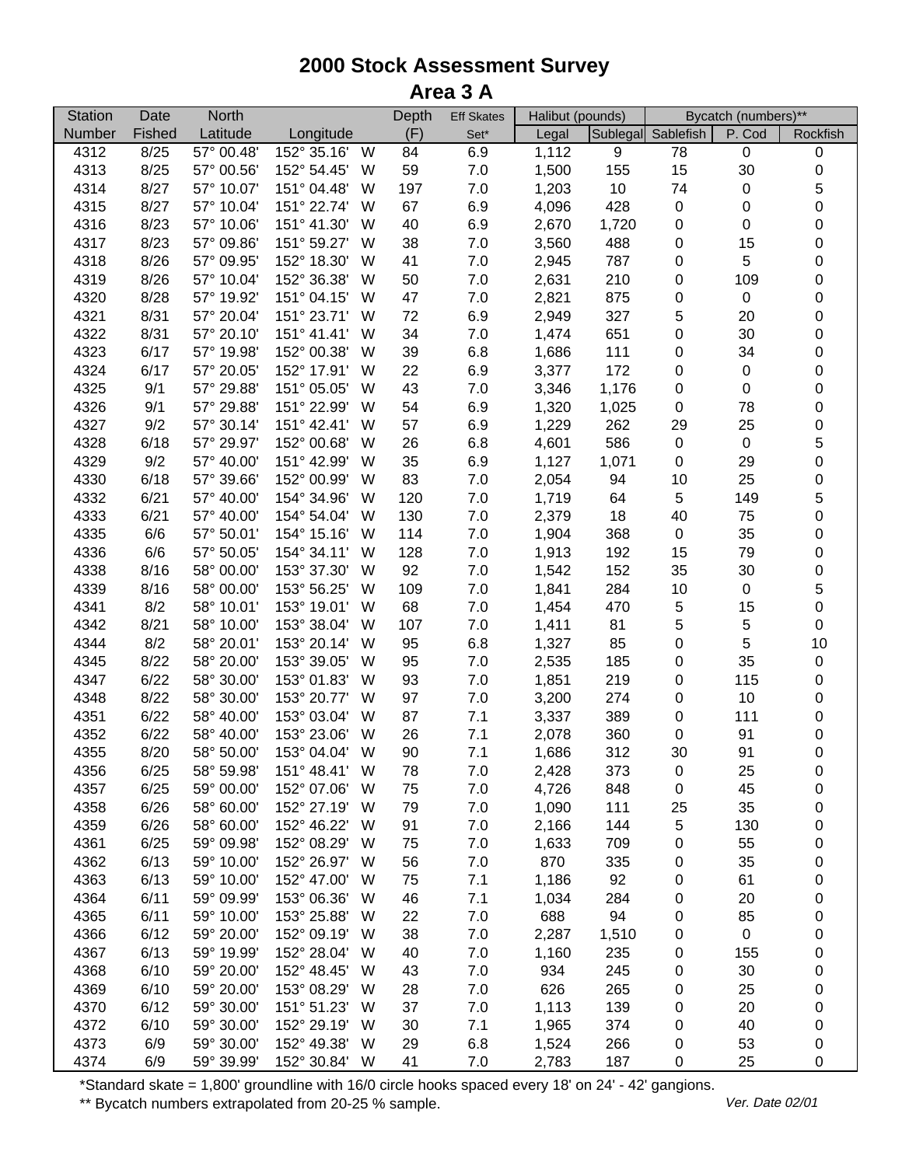| <b>Station</b> | Date   | <b>North</b> |               |   | Depth | <b>Eff Skates</b> | Halibut (pounds) |       |                    | Bycatch (numbers)** |                  |
|----------------|--------|--------------|---------------|---|-------|-------------------|------------------|-------|--------------------|---------------------|------------------|
| Number         | Fished | Latitude     | Longitude     |   | (F)   | Set*              | Legal            |       | Sublegal Sablefish | P. Cod              | Rockfish         |
| 4312           | 8/25   | 57° 00.48'   | 152° 35.16'   | W | 84    | 6.9               | 1,112            | 9     | 78                 | $\pmb{0}$           | 0                |
| 4313           | 8/25   | 57° 00.56'   | 152° 54.45'   | W | 59    | 7.0               | 1,500            | 155   | 15                 | 30                  | $\pmb{0}$        |
| 4314           | 8/27   | 57° 10.07'   | 151° 04.48'   | W | 197   | 7.0               | 1,203            | 10    | 74                 | 0                   | 5                |
| 4315           | 8/27   | 57° 10.04'   | 151° 22.74'   | W | 67    | 6.9               | 4,096            | 428   | $\pmb{0}$          | 0                   | 0                |
| 4316           | 8/23   | 57° 10.06'   | 151° 41.30'   | W | 40    | 6.9               | 2,670            | 1,720 | 0                  | 0                   | 0                |
| 4317           | 8/23   | 57° 09.86'   | 151° 59.27'   | W | 38    | $7.0$             | 3,560            | 488   | 0                  | 15                  | 0                |
| 4318           | 8/26   | 57° 09.95'   | 152° 18.30'   | W | 41    | $7.0$             | 2,945            | 787   | 0                  | 5                   | $\pmb{0}$        |
| 4319           | 8/26   | 57° 10.04'   | 152° 36.38'   | W | 50    | $7.0$             | 2,631            | 210   | $\pmb{0}$          | 109                 | $\pmb{0}$        |
| 4320           | 8/28   | 57° 19.92'   | 151° 04.15'   | W | 47    | $7.0$             | 2,821            | 875   | $\pmb{0}$          | $\pmb{0}$           | $\pmb{0}$        |
| 4321           | 8/31   | 57° 20.04'   | 151° 23.71'   | W | 72    | 6.9               | 2,949            | 327   | 5                  | 20                  | $\pmb{0}$        |
| 4322           | 8/31   | 57° 20.10'   | 151° 41.41'   | W | 34    | $7.0$             | 1,474            | 651   | 0                  | 30                  | $\boldsymbol{0}$ |
| 4323           | 6/17   | 57° 19.98'   | 152° 00.38'   | W | 39    | 6.8               | 1,686            | 111   | 0                  | 34                  | 0                |
| 4324           | 6/17   | 57° 20.05'   | 152° 17.91'   | W | 22    | 6.9               | 3,377            | 172   | $\boldsymbol{0}$   | $\pmb{0}$           | $\pmb{0}$        |
| 4325           | 9/1    | 57° 29.88'   | 151° 05.05'   | W | 43    | $7.0$             | 3,346            | 1,176 | 0                  | 0                   | 0                |
| 4326           | 9/1    | 57° 29.88'   | 151° 22.99'   | W | 54    | 6.9               | 1,320            | 1,025 | 0                  | 78                  | 0                |
| 4327           | 9/2    | 57° 30.14'   | 151° 42.41'   | W | 57    | 6.9               | 1,229            | 262   | 29                 | 25                  | 0                |
| 4328           | 6/18   | 57° 29.97'   | 152° 00.68'   | W | 26    | 6.8               | 4,601            | 586   | $\pmb{0}$          | $\pmb{0}$           | 5                |
| 4329           | 9/2    | 57° 40.00'   | 151° 42.99'   | W | 35    | 6.9               | 1,127            | 1,071 | $\pmb{0}$          | 29                  | 0                |
| 4330           | 6/18   | 57° 39.66'   | 152° 00.99'   | W | 83    | 7.0               | 2,054            | 94    | 10                 | 25                  | $\pmb{0}$        |
| 4332           | 6/21   | 57° 40.00'   | 154° 34.96'   | W | 120   | 7.0               | 1,719            | 64    | 5                  | 149                 | 5                |
| 4333           | 6/21   | 57° 40.00'   | 154° 54.04'   | W | 130   | $7.0$             | 2,379            | 18    | 40                 | 75                  | 0                |
| 4335           | 6/6    | 57° 50.01'   | 154° 15.16'   | W | 114   | 7.0               | 1,904            | 368   | $\pmb{0}$          | 35                  | 0                |
| 4336           | 6/6    | 57° 50.05'   | 154° 34.11'   | W | 128   | $7.0\,$           | 1,913            | 192   | 15                 | 79                  | $\pmb{0}$        |
| 4338           | 8/16   | 58° 00.00'   | 153° 37.30'   | W | 92    | $7.0\,$           | 1,542            | 152   | 35                 | 30                  | 0                |
| 4339           | 8/16   | 58° 00.00'   | 153° 56.25'   | W | 109   | $7.0$             | 1,841            | 284   | 10                 | $\pmb{0}$           | 5                |
| 4341           | 8/2    | 58° 10.01'   | 153° 19.01'   | W | 68    | 7.0               | 1,454            | 470   | $\,$ 5 $\,$        | 15                  | $\pmb{0}$        |
| 4342           | 8/21   | 58° 10.00'   | 153° 38.04'   | W | 107   | $7.0$             | 1,411            | 81    | 5                  | 5                   | $\pmb{0}$        |
| 4344           | 8/2    | 58° 20.01'   | 153° 20.14'   | W | 95    | $6.8\,$           | 1,327            | 85    | 0                  | $\overline{5}$      | 10               |
| 4345           | 8/22   | 58° 20.00'   | 153° 39.05'   | W | 95    | $7.0$             | 2,535            | 185   | $\pmb{0}$          | 35                  | 0                |
| 4347           | 6/22   | 58° 30.00'   | 153° 01.83'   | W | 93    | $7.0$             | 1,851            | 219   | $\pmb{0}$          | 115                 | 0                |
| 4348           | 8/22   | 58° 30.00'   | 153° 20.77'   | W | 97    | 7.0               | 3,200            | 274   | $\pmb{0}$          | 10                  | $\pmb{0}$        |
| 4351           | 6/22   | 58° 40.00'   | 153° 03.04'   | W | 87    | 7.1               | 3,337            | 389   | $\pmb{0}$          | 111                 | 0                |
| 4352           | 6/22   | 58° 40.00'   | 153° 23.06'   | W | 26    | 7.1               | 2,078            | 360   | $\pmb{0}$          | 91                  | 0                |
| 4355           | 8/20   | 58° 50.00'   | 153° 04.04'   | W | 90    | 7.1               | 1,686            | 312   | 30                 | 91                  | $\pmb{0}$        |
| 4356           | 6/25   | 58° 59.98'   | 151° 48.41'   | W | 78    | 7.0               | 2,428            | 373   | 0                  | 25                  | 0                |
| 4357           | 6/25   | 59° 00.00'   | 152° 07.06'   | W | 75    | 7.0               | 4,726            | 848   | 0                  | 45                  | 0                |
| 4358           | 6/26   | 58° 60.00'   | 152° 27.19'   | W | 79    | $7.0\,$           | 1,090            | 111   | 25                 | 35                  | 0                |
| 4359           | 6/26   | 58° 60.00'   | 152° 46.22'   | W | 91    | 7.0               | 2,166            | 144   | 5                  | 130                 | 0                |
| 4361           | 6/25   | 59° 09.98'   | 152° 08.29'   | W | 75    | $7.0\,$           | 1,633            | 709   | 0                  | 55                  | 0                |
| 4362           | 6/13   | 59° 10.00'   | 152° 26.97'   | W | 56    | 7.0               | 870              | 335   | 0                  | 35                  | 0                |
| 4363           | 6/13   | 59° 10.00'   | 152° 47.00'   | W | 75    | 7.1               | 1,186            | 92    | 0                  | 61                  | 0                |
| 4364           | 6/11   | 59° 09.99'   | 153° 06.36'   | W | 46    | 7.1               | 1,034            | 284   | 0                  | 20                  | 0                |
| 4365           | 6/11   | 59° 10.00'   | 153° 25.88'   | W | 22    | $7.0$             | 688              | 94    | 0                  | 85                  | 0                |
| 4366           | 6/12   | 59° 20.00'   | 152° 09.19'   | W | 38    | $7.0$             | 2,287            | 1,510 | 0                  | $\pmb{0}$           | 0                |
| 4367           | 6/13   | 59° 19.99'   | 152° 28.04'   | W | 40    | $7.0\,$           | 1,160            | 235   | 0                  | 155                 | 0                |
| 4368           | 6/10   | 59° 20.00'   | 152° 48.45'   | W | 43    | 7.0               | 934              | 245   | 0                  | 30                  | 0                |
| 4369           | 6/10   | 59° 20.00'   | 153° 08.29'   | W | 28    | 7.0               | 626              | 265   | 0                  | 25                  | 0                |
| 4370           | 6/12   | 59° 30.00'   | 151° 51.23'   | W | 37    | 7.0               | 1,113            | 139   | 0                  | 20                  | 0                |
| 4372           | 6/10   | 59° 30.00'   | 152° 29.19'   | W | 30    | 7.1               | 1,965            | 374   | 0                  | 40                  | 0                |
| 4373           | 6/9    | 59° 30.00'   | 152° 49.38'   | W | 29    | 6.8               | 1,524            | 266   | 0                  | 53                  | 0                |
| 4374           | 6/9    | 59° 39.99'   | 152° 30.84' W |   | 41    | 7.0               | 2,783            | 187   | 0                  | 25                  | 0                |

\*Standard skate = 1,800' groundline with 16/0 circle hooks spaced every 18' on 24' - 42' gangions.